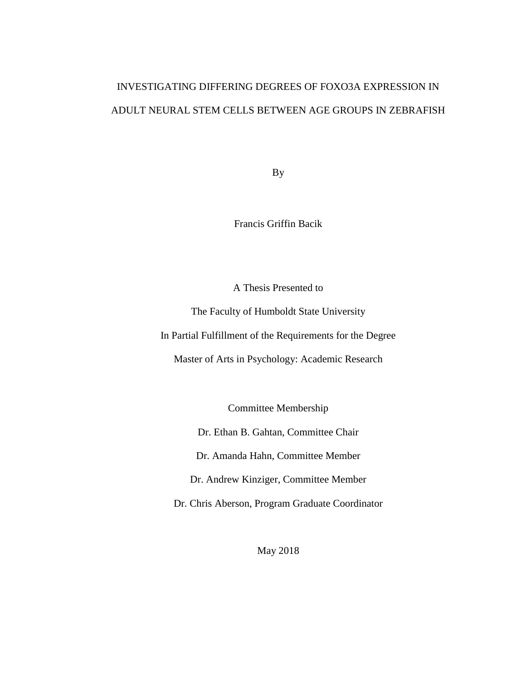# INVESTIGATING DIFFERING DEGREES OF FOXO3A EXPRESSION IN ADULT NEURAL STEM CELLS BETWEEN AGE GROUPS IN ZEBRAFISH

By

Francis Griffin Bacik

A Thesis Presented to

The Faculty of Humboldt State University

In Partial Fulfillment of the Requirements for the Degree

Master of Arts in Psychology: Academic Research

Committee Membership

Dr. Ethan B. Gahtan, Committee Chair

Dr. Amanda Hahn, Committee Member

Dr. Andrew Kinziger, Committee Member

Dr. Chris Aberson, Program Graduate Coordinator

May 2018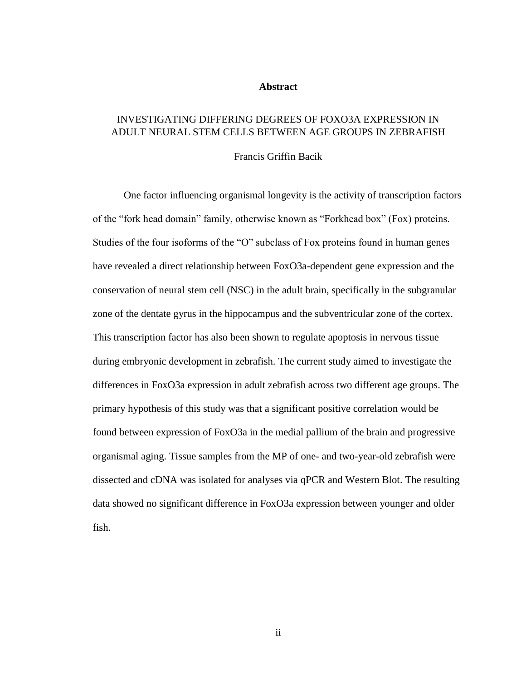#### **Abstract**

## <span id="page-1-0"></span>INVESTIGATING DIFFERING DEGREES OF FOXO3A EXPRESSION IN ADULT NEURAL STEM CELLS BETWEEN AGE GROUPS IN ZEBRAFISH

Francis Griffin Bacik

One factor influencing organismal longevity is the activity of transcription factors of the "fork head domain" family, otherwise known as "Forkhead box" (Fox) proteins. Studies of the four isoforms of the "O" subclass of Fox proteins found in human genes have revealed a direct relationship between FoxO3a-dependent gene expression and the conservation of neural stem cell (NSC) in the adult brain, specifically in the subgranular zone of the dentate gyrus in the hippocampus and the subventricular zone of the cortex. This transcription factor has also been shown to regulate apoptosis in nervous tissue during embryonic development in zebrafish. The current study aimed to investigate the differences in FoxO3a expression in adult zebrafish across two different age groups. The primary hypothesis of this study was that a significant positive correlation would be found between expression of FoxO3a in the medial pallium of the brain and progressive organismal aging. Tissue samples from the MP of one- and two-year-old zebrafish were dissected and cDNA was isolated for analyses via qPCR and Western Blot. The resulting data showed no significant difference in FoxO3a expression between younger and older fish.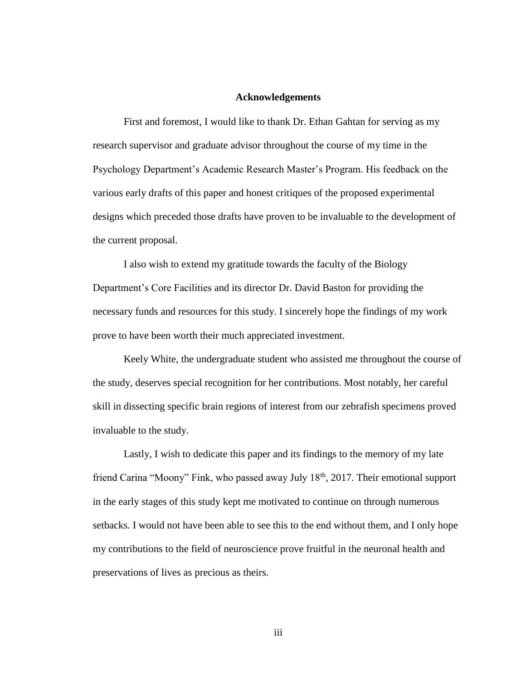#### **Acknowledgements**

<span id="page-2-0"></span>First and foremost, I would like to thank Dr. Ethan Gahtan for serving as my research supervisor and graduate advisor throughout the course of my time in the Psychology Department's Academic Research Master's Program. His feedback on the various early drafts of this paper and honest critiques of the proposed experimental designs which preceded those drafts have proven to be invaluable to the development of the current proposal.

I also wish to extend my gratitude towards the faculty of the Biology Department's Core Facilities and its director Dr. David Baston for providing the necessary funds and resources for this study. I sincerely hope the findings of my work prove to have been worth their much appreciated investment.

Keely White, the undergraduate student who assisted me throughout the course of the study, deserves special recognition for her contributions. Most notably, her careful skill in dissecting specific brain regions of interest from our zebrafish specimens proved invaluable to the study.

Lastly, I wish to dedicate this paper and its findings to the memory of my late friend Carina "Moony" Fink, who passed away July 18<sup>th</sup>, 2017. Their emotional support in the early stages of this study kept me motivated to continue on through numerous setbacks. I would not have been able to see this to the end without them, and I only hope my contributions to the field of neuroscience prove fruitful in the neuronal health and preservations of lives as precious as theirs.

iii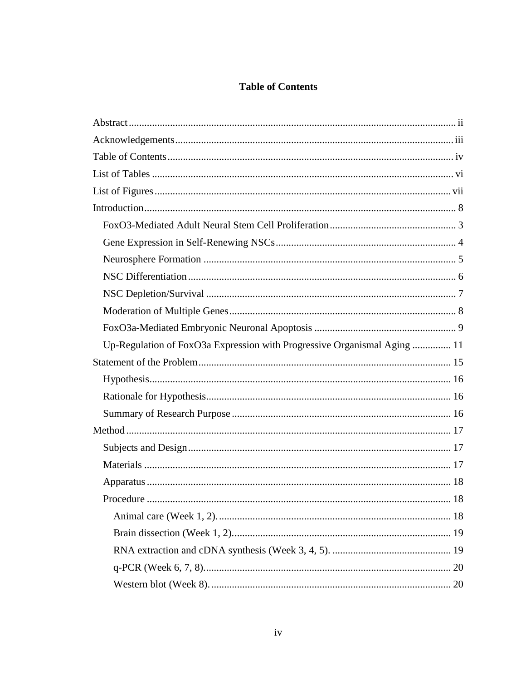## **Table of Contents**

<span id="page-3-0"></span>

| Up-Regulation of FoxO3a Expression with Progressive Organismal Aging  11 |
|--------------------------------------------------------------------------|
|                                                                          |
|                                                                          |
|                                                                          |
|                                                                          |
|                                                                          |
|                                                                          |
|                                                                          |
|                                                                          |
|                                                                          |
|                                                                          |
|                                                                          |
|                                                                          |
|                                                                          |
|                                                                          |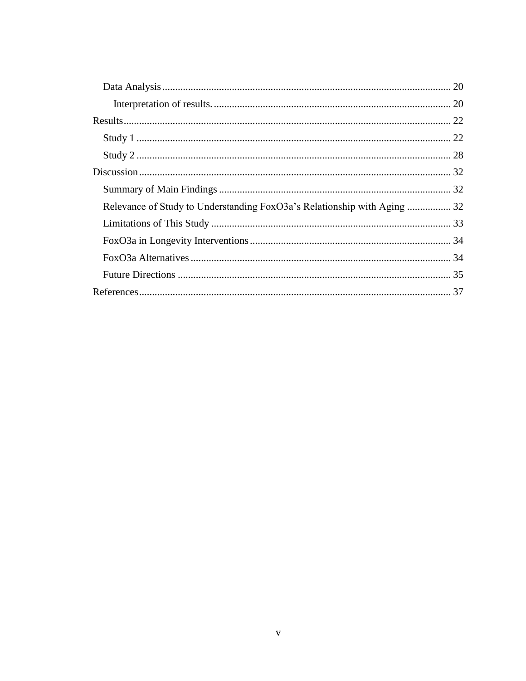| Relevance of Study to Understanding FoxO3a's Relationship with Aging  32 |  |
|--------------------------------------------------------------------------|--|
|                                                                          |  |
|                                                                          |  |
|                                                                          |  |
|                                                                          |  |
|                                                                          |  |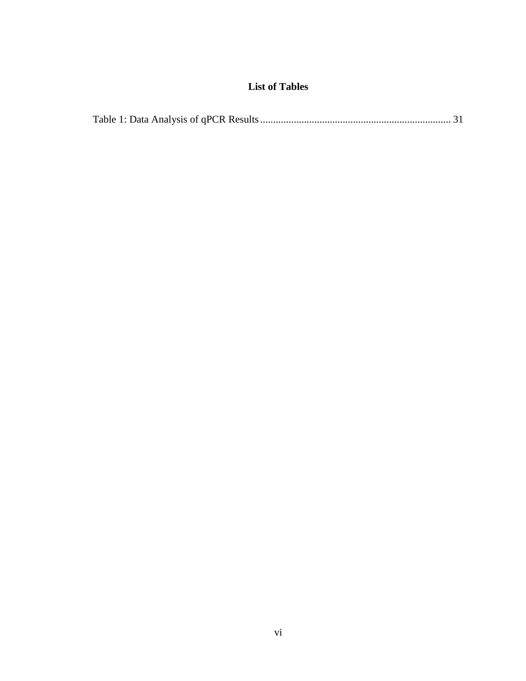## **List of Tables**

<span id="page-5-0"></span>

|--|--|--|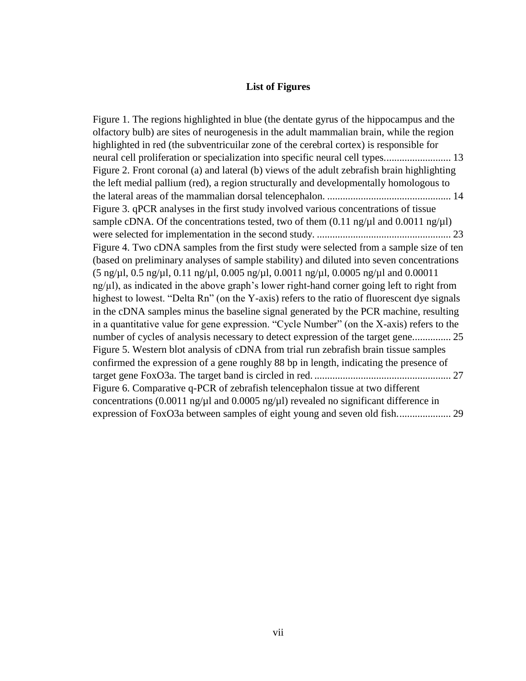#### **List of Figures**

<span id="page-6-0"></span>[Figure 1. The regions highlighted in blue \(the dentate gyrus of the hippocampus and the](#page-19-0)  [olfactory bulb\) are sites of neurogenesis in the adult mammalian brain, while the region](#page-19-0)  [highlighted in red \(the subventricuilar zone of the cerebral cortex\) is responsible for](#page-19-0)  [neural cell proliferation or specialization into specific neural cell types..........................](#page-19-0)......... [Figure 2. Front coronal \(a\) and lateral \(b\) views of the adult zebrafish brain highlighting](#page-20-0)  [the left medial pallium \(red\), a region structurally and developmentally homologous to](#page-20-0)  [the lateral areas of the mammalian dorsal telencephalon.](#page-20-0) ................................................ 14 [Figure 3. qPCR analyses in the first study involved various concentrations of tissue](#page-29-0)  sample cDNA. Of the concentrations tested, two of them  $(0.11 \text{ ng}/\mu\text{I} \text{ and } 0.0011 \text{ ng}/\mu\text{I})$ [were selected for implementation in the second study.](#page-29-0) .................................................... 23 [Figure 4. Two cDNA samples from the first study were selected from a sample size of ten](file:///C:/Users/kem8/Downloads/INVESTIGATING_DIFFERING_DEGREES_OF_FOXO3_EXPRESSION_IN_ADULT_NEURAL_STEM_CELLS_BETWEEN_AGE_GROUPS_IN_ZEBRAFISH%20(2).docx%23_Toc514059727)  [\(based on preliminary analyses of sample stability\) and diluted into seven concentrations](file:///C:/Users/kem8/Downloads/INVESTIGATING_DIFFERING_DEGREES_OF_FOXO3_EXPRESSION_IN_ADULT_NEURAL_STEM_CELLS_BETWEEN_AGE_GROUPS_IN_ZEBRAFISH%20(2).docx%23_Toc514059727)  [\(5 ng/µl, 0.5 ng/µl, 0.11 ng/µl, 0.005 ng/µl, 0.0011 ng/µl, 0.0005 ng/µl and 0.00011](file:///C:/Users/kem8/Downloads/INVESTIGATING_DIFFERING_DEGREES_OF_FOXO3_EXPRESSION_IN_ADULT_NEURAL_STEM_CELLS_BETWEEN_AGE_GROUPS_IN_ZEBRAFISH%20(2).docx%23_Toc514059727)   $ng<sub>\mu</sub>l$ ), as indicated in the above graph's lower right-hand corner going left to right from highest to lowest. "Delta Rn" (on the Y-axis) refers to the ratio of fluorescent dye signals [in the cDNA samples minus the baseline signal generated by the PCR machine, resulting](file:///C:/Users/kem8/Downloads/INVESTIGATING_DIFFERING_DEGREES_OF_FOXO3_EXPRESSION_IN_ADULT_NEURAL_STEM_CELLS_BETWEEN_AGE_GROUPS_IN_ZEBRAFISH%20(2).docx%23_Toc514059727)  [in a quantitative value for gene expression. "Cycle Number" \(on the X-axis\) refers to the](file:///C:/Users/kem8/Downloads/INVESTIGATING_DIFFERING_DEGREES_OF_FOXO3_EXPRESSION_IN_ADULT_NEURAL_STEM_CELLS_BETWEEN_AGE_GROUPS_IN_ZEBRAFISH%20(2).docx%23_Toc514059727)  [number of cycles of analysis necessary to detect expression of the target gene...............](file:///C:/Users/kem8/Downloads/INVESTIGATING_DIFFERING_DEGREES_OF_FOXO3_EXPRESSION_IN_ADULT_NEURAL_STEM_CELLS_BETWEEN_AGE_GROUPS_IN_ZEBRAFISH%20(2).docx%23_Toc514059727) 25 [Figure 5. Western blot analysis of cDNA from trial run zebrafish brain tissue samples](file:///C:/Users/kem8/Downloads/INVESTIGATING_DIFFERING_DEGREES_OF_FOXO3_EXPRESSION_IN_ADULT_NEURAL_STEM_CELLS_BETWEEN_AGE_GROUPS_IN_ZEBRAFISH%20(2).docx%23_Toc514059728)  [confirmed the expression of a gene roughly 88 bp in length, indicating the presence of](file:///C:/Users/kem8/Downloads/INVESTIGATING_DIFFERING_DEGREES_OF_FOXO3_EXPRESSION_IN_ADULT_NEURAL_STEM_CELLS_BETWEEN_AGE_GROUPS_IN_ZEBRAFISH%20(2).docx%23_Toc514059728)  [target gene FoxO3a. The target band is circled in red.](file:///C:/Users/kem8/Downloads/INVESTIGATING_DIFFERING_DEGREES_OF_FOXO3_EXPRESSION_IN_ADULT_NEURAL_STEM_CELLS_BETWEEN_AGE_GROUPS_IN_ZEBRAFISH%20(2).docx%23_Toc514059728) ..................................................... 27 [Figure 6. Comparative q-PCR of zebrafish telencephalon tissue at two different](file:///C:/Users/kem8/Downloads/INVESTIGATING_DIFFERING_DEGREES_OF_FOXO3_EXPRESSION_IN_ADULT_NEURAL_STEM_CELLS_BETWEEN_AGE_GROUPS_IN_ZEBRAFISH%20(2).docx%23_Toc514059729)  concentrations (0.0011 ng/ $\mu$ l and 0.0005 ng/ $\mu$ l) revealed no significant difference in [expression of FoxO3a between samples of eight young and seven old fish.....................](file:///C:/Users/kem8/Downloads/INVESTIGATING_DIFFERING_DEGREES_OF_FOXO3_EXPRESSION_IN_ADULT_NEURAL_STEM_CELLS_BETWEEN_AGE_GROUPS_IN_ZEBRAFISH%20(2).docx%23_Toc514059729) 29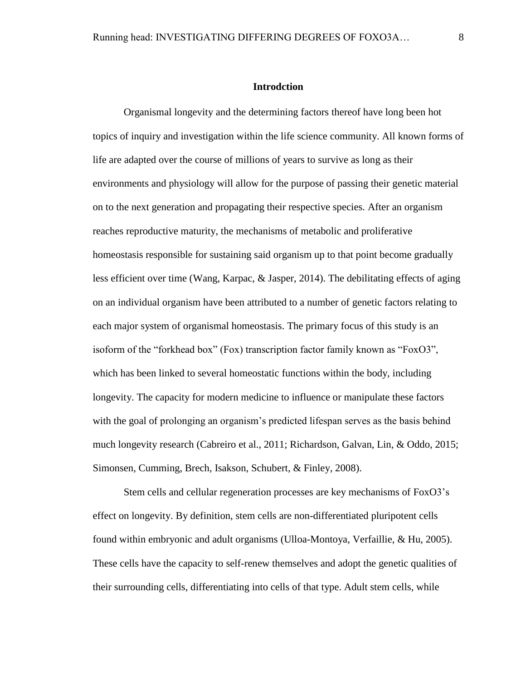## **Introdction**

<span id="page-7-0"></span>Organismal longevity and the determining factors thereof have long been hot topics of inquiry and investigation within the life science community. All known forms of life are adapted over the course of millions of years to survive as long as their environments and physiology will allow for the purpose of passing their genetic material on to the next generation and propagating their respective species. After an organism reaches reproductive maturity, the mechanisms of metabolic and proliferative homeostasis responsible for sustaining said organism up to that point become gradually less efficient over time (Wang, Karpac, & Jasper, 2014). The debilitating effects of aging on an individual organism have been attributed to a number of genetic factors relating to each major system of organismal homeostasis. The primary focus of this study is an isoform of the "forkhead box" (Fox) transcription factor family known as "FoxO3", which has been linked to several homeostatic functions within the body, including longevity. The capacity for modern medicine to influence or manipulate these factors with the goal of prolonging an organism's predicted lifespan serves as the basis behind much longevity research (Cabreiro et al., 2011; Richardson, Galvan, Lin, & Oddo, 2015; Simonsen, Cumming, Brech, Isakson, Schubert, & Finley, 2008).

Stem cells and cellular regeneration processes are key mechanisms of FoxO3's effect on longevity. By definition, stem cells are non-differentiated pluripotent cells found within embryonic and adult organisms (Ulloa-Montoya, Verfaillie, & Hu, 2005). These cells have the capacity to self-renew themselves and adopt the genetic qualities of their surrounding cells, differentiating into cells of that type. Adult stem cells, while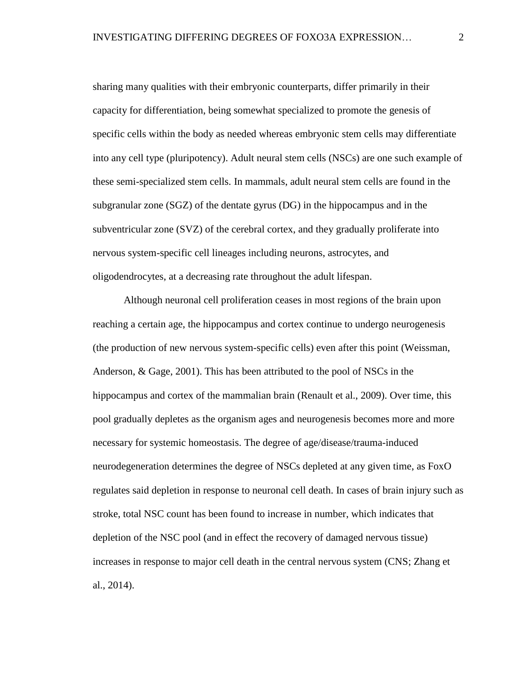sharing many qualities with their embryonic counterparts, differ primarily in their capacity for differentiation, being somewhat specialized to promote the genesis of specific cells within the body as needed whereas embryonic stem cells may differentiate into any cell type (pluripotency). Adult neural stem cells (NSCs) are one such example of these semi-specialized stem cells. In mammals, adult neural stem cells are found in the subgranular zone (SGZ) of the dentate gyrus (DG) in the hippocampus and in the subventricular zone (SVZ) of the cerebral cortex, and they gradually proliferate into nervous system-specific cell lineages including neurons, astrocytes, and oligodendrocytes, at a decreasing rate throughout the adult lifespan.

Although neuronal cell proliferation ceases in most regions of the brain upon reaching a certain age, the hippocampus and cortex continue to undergo neurogenesis (the production of new nervous system-specific cells) even after this point (Weissman, Anderson, & Gage, 2001). This has been attributed to the pool of NSCs in the hippocampus and cortex of the mammalian brain (Renault et al., 2009). Over time, this pool gradually depletes as the organism ages and neurogenesis becomes more and more necessary for systemic homeostasis. The degree of age/disease/trauma-induced neurodegeneration determines the degree of NSCs depleted at any given time, as FoxO regulates said depletion in response to neuronal cell death. In cases of brain injury such as stroke, total NSC count has been found to increase in number, which indicates that depletion of the NSC pool (and in effect the recovery of damaged nervous tissue) increases in response to major cell death in the central nervous system (CNS; Zhang et al., 2014).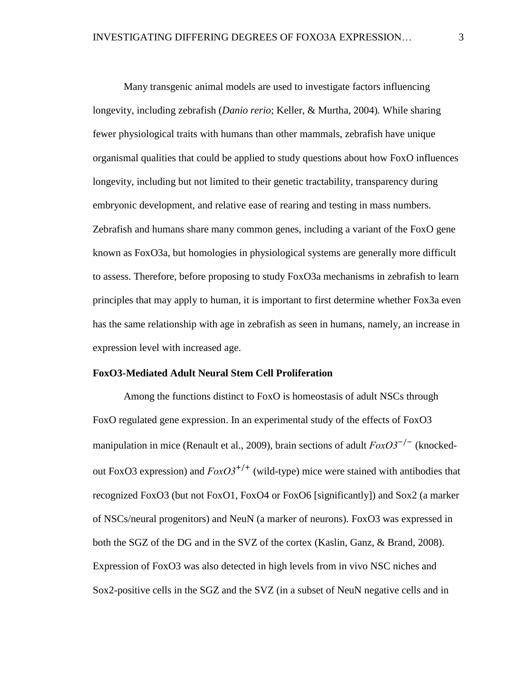Many transgenic animal models are used to investigate factors influencing longevity, including zebrafish (*Danio rerio*; Keller, & Murtha, 2004)*.* While sharing fewer physiological traits with humans than other mammals, zebrafish have unique organismal qualities that could be applied to study questions about how FoxO influences longevity, including but not limited to their genetic tractability, transparency during embryonic development, and relative ease of rearing and testing in mass numbers. Zebrafish and humans share many common genes, including a variant of the FoxO gene known as FoxO3a, but homologies in physiological systems are generally more difficult to assess. Therefore, before proposing to study FoxO3a mechanisms in zebrafish to learn principles that may apply to human, it is important to first determine whether Fox3a even has the same relationship with age in zebrafish as seen in humans, namely, an increase in expression level with increased age.

## <span id="page-9-0"></span>**FoxO3-Mediated Adult Neural Stem Cell Proliferation**

Among the functions distinct to FoxO is homeostasis of adult NSCs through FoxO regulated gene expression. In an experimental study of the effects of FoxO3 manipulation in mice (Renault et al., 2009), brain sections of adult *FoxO3<sup>-/-</sup>* (knockedout FoxO3 expression) and  $FoxO3^{+/+}$  (wild-type) mice were stained with antibodies that recognized FoxO3 (but not FoxO1, FoxO4 or FoxO6 [significantly]) and Sox2 (a marker of NSCs/neural progenitors) and NeuN (a marker of neurons). FoxO3 was expressed in both the SGZ of the DG and in the SVZ of the cortex (Kaslin, Ganz, & Brand, 2008). Expression of FoxO3 was also detected in high levels from in vivo NSC niches and Sox2-positive cells in the SGZ and the SVZ (in a subset of NeuN negative cells and in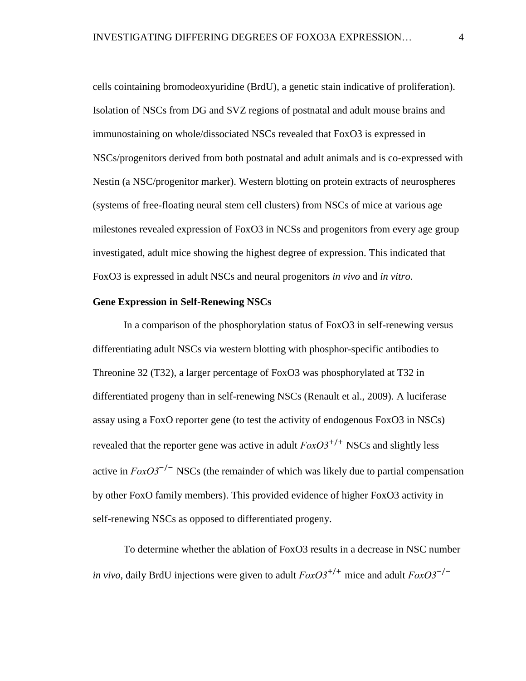cells cointaining bromodeoxyuridine (BrdU), a genetic stain indicative of proliferation). Isolation of NSCs from DG and SVZ regions of postnatal and adult mouse brains and immunostaining on whole/dissociated NSCs revealed that FoxO3 is expressed in NSCs/progenitors derived from both postnatal and adult animals and is co-expressed with Nestin (a NSC/progenitor marker). Western blotting on protein extracts of neurospheres (systems of free-floating neural stem cell clusters) from NSCs of mice at various age milestones revealed expression of FoxO3 in NCSs and progenitors from every age group investigated, adult mice showing the highest degree of expression. This indicated that FoxO3 is expressed in adult NSCs and neural progenitors *in vivo* and *in vitro*.

#### <span id="page-10-0"></span>**Gene Expression in Self-Renewing NSCs**

In a comparison of the phosphorylation status of FoxO3 in self-renewing versus differentiating adult NSCs via western blotting with phosphor-specific antibodies to Threonine 32 (T32), a larger percentage of FoxO3 was phosphorylated at T32 in differentiated progeny than in self-renewing NSCs (Renault et al., 2009). A luciferase assay using a FoxO reporter gene (to test the activity of endogenous FoxO3 in NSCs) revealed that the reporter gene was active in adult  $FoxO3^{+/+}$  NSCs and slightly less active in  $FoxO3^{-/-}$  NSCs (the remainder of which was likely due to partial compensation by other FoxO family members). This provided evidence of higher FoxO3 activity in self-renewing NSCs as opposed to differentiated progeny.

To determine whether the ablation of FoxO3 results in a decrease in NSC number *in vivo*, daily BrdU injections were given to adult *FoxO3*+/+ mice and adult *FoxO3*−/−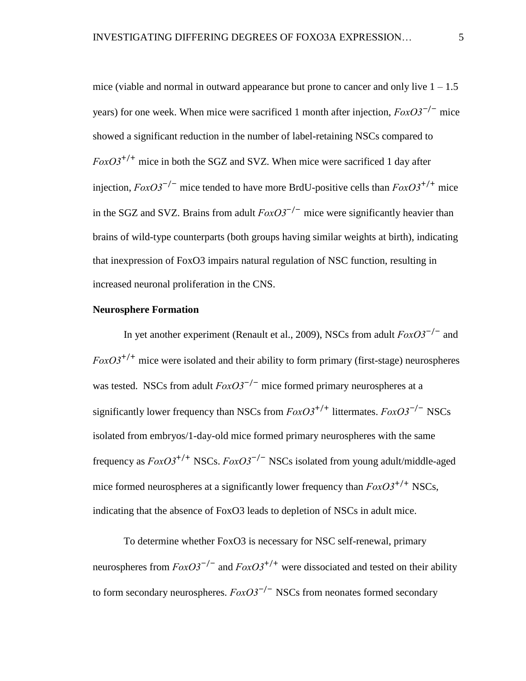mice (viable and normal in outward appearance but prone to cancer and only live  $1 - 1.5$ years) for one week. When mice were sacrificed 1 month after injection, *FoxO3<sup>−/−</sup>* mice showed a significant reduction in the number of label-retaining NSCs compared to  $F\alpha xO3^{+/+}$  mice in both the SGZ and SVZ. When mice were sacrificed 1 day after injection,  $FoxO3^{-/-}$  mice tended to have more BrdU-positive cells than  $FoxO3^{+/+}$  mice in the SGZ and SVZ. Brains from adult  $FoxO3^{-/-}$  mice were significantly heavier than brains of wild-type counterparts (both groups having similar weights at birth), indicating that inexpression of FoxO3 impairs natural regulation of NSC function, resulting in increased neuronal proliferation in the CNS.

## <span id="page-11-0"></span>**Neurosphere Formation**

In yet another experiment (Renault et al., 2009), NSCs from adult *FoxO3*−/− and  $FoxO3^{+/+}$  mice were isolated and their ability to form primary (first-stage) neurospheres was tested. NSCs from adult *FoxO3<sup>-/-</sup>* mice formed primary neurospheres at a significantly lower frequency than NSCs from *FoxO3*+/+ littermates. *FoxO3*−/− NSCs isolated from embryos/1-day-old mice formed primary neurospheres with the same frequency as *FoxO3*+/+ NSCs. *FoxO3*−/− NSCs isolated from young adult/middle-aged mice formed neurospheres at a significantly lower frequency than  $FoxO3^{+/+}$  NSCs, indicating that the absence of FoxO3 leads to depletion of NSCs in adult mice.

To determine whether FoxO3 is necessary for NSC self-renewal, primary neurospheres from  $FoxO3^{-/-}$  and  $FoxO3^{+/+}$  were dissociated and tested on their ability to form secondary neurospheres. *FoxO3*−/− NSCs from neonates formed secondary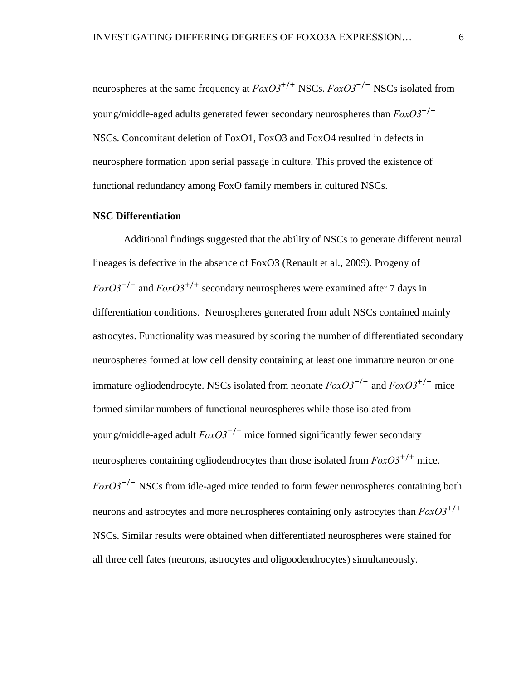neurospheres at the same frequency at  $FoxO3^{+/+}$  NSCs.  $FoxO3^{-/-}$  NSCs isolated from young/middle-aged adults generated fewer secondary neurospheres than *FoxO3*+/+ NSCs. Concomitant deletion of FoxO1, FoxO3 and FoxO4 resulted in defects in neurosphere formation upon serial passage in culture. This proved the existence of functional redundancy among FoxO family members in cultured NSCs.

#### <span id="page-12-0"></span>**NSC Differentiation**

Additional findings suggested that the ability of NSCs to generate different neural lineages is defective in the absence of FoxO3 (Renault et al., 2009). Progeny of  $FoxO3^{-/-}$  and  $FoxO3^{+/+}$  secondary neurospheres were examined after 7 days in differentiation conditions. Neurospheres generated from adult NSCs contained mainly astrocytes. Functionality was measured by scoring the number of differentiated secondary neurospheres formed at low cell density containing at least one immature neuron or one immature ogliodendrocyte. NSCs isolated from neonate *FoxO3*−/− and *FoxO3*+/+ mice formed similar numbers of functional neurospheres while those isolated from young/middle-aged adult *FoxO3*−/− mice formed significantly fewer secondary neurospheres containing ogliodendrocytes than those isolated from  $FoxO3^{+/+}$  mice. *FoxO3<sup>-/-</sup>* NSCs from idle-aged mice tended to form fewer neurospheres containing both neurons and astrocytes and more neurospheres containing only astrocytes than *FoxO3*+/+ NSCs. Similar results were obtained when differentiated neurospheres were stained for all three cell fates (neurons, astrocytes and oligoodendrocytes) simultaneously.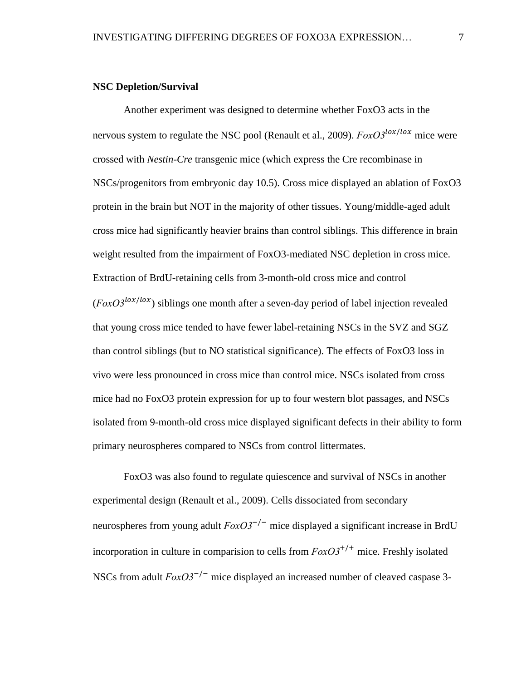#### <span id="page-13-0"></span>**NSC Depletion/Survival**

Another experiment was designed to determine whether FoxO3 acts in the nervous system to regulate the NSC pool (Renault et al., 2009).  $FoxO3^{10x/10x}$  mice were crossed with *Nestin-Cre* transgenic mice (which express the Cre recombinase in NSCs/progenitors from embryonic day 10.5). Cross mice displayed an ablation of FoxO3 protein in the brain but NOT in the majority of other tissues. Young/middle-aged adult cross mice had significantly heavier brains than control siblings. This difference in brain weight resulted from the impairment of FoxO3-mediated NSC depletion in cross mice. Extraction of BrdU-retaining cells from 3-month-old cross mice and control  $(FoxO3^{lox/lox})$  siblings one month after a seven-day period of label injection revealed that young cross mice tended to have fewer label-retaining NSCs in the SVZ and SGZ than control siblings (but to NO statistical significance). The effects of FoxO3 loss in vivo were less pronounced in cross mice than control mice. NSCs isolated from cross mice had no FoxO3 protein expression for up to four western blot passages, and NSCs isolated from 9-month-old cross mice displayed significant defects in their ability to form primary neurospheres compared to NSCs from control littermates.

FoxO3 was also found to regulate quiescence and survival of NSCs in another experimental design (Renault et al., 2009). Cells dissociated from secondary neurospheres from young adult *FoxO3<sup>-/-</sup>* mice displayed a significant increase in BrdU incorporation in culture in comparision to cells from  $FoxO3^{+/+}$  mice. Freshly isolated NSCs from adult *FoxO3<sup>-/-</sup>* mice displayed an increased number of cleaved caspase 3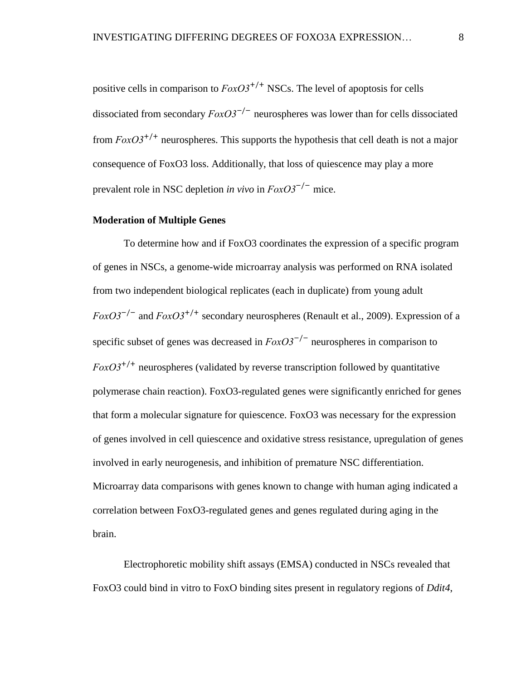positive cells in comparison to  $FoxO3^{+/+}$  NSCs. The level of apoptosis for cells dissociated from secondary *FoxO3*−/− neurospheres was lower than for cells dissociated from *FoxO3*+/+ neurospheres. This supports the hypothesis that cell death is not a major consequence of FoxO3 loss. Additionally, that loss of quiescence may play a more prevalent role in NSC depletion *in vivo* in *FoxO3*−/− mice.

#### <span id="page-14-0"></span>**Moderation of Multiple Genes**

To determine how and if FoxO3 coordinates the expression of a specific program of genes in NSCs, a genome-wide microarray analysis was performed on RNA isolated from two independent biological replicates (each in duplicate) from young adult *FoxO3*<sup>-/-</sup> and *FoxO3*<sup>+/+</sup> secondary neurospheres (Renault et al., 2009). Expression of a specific subset of genes was decreased in  $FoxO3^{-/-}$  neurospheres in comparison to  $F\alpha xO3^{+/+}$  neurospheres (validated by reverse transcription followed by quantitative polymerase chain reaction). FoxO3-regulated genes were significantly enriched for genes that form a molecular signature for quiescence. FoxO3 was necessary for the expression of genes involved in cell quiescence and oxidative stress resistance, upregulation of genes involved in early neurogenesis, and inhibition of premature NSC differentiation. Microarray data comparisons with genes known to change with human aging indicated a correlation between FoxO3-regulated genes and genes regulated during aging in the brain.

Electrophoretic mobility shift assays (EMSA) conducted in NSCs revealed that FoxO3 could bind in vitro to FoxO binding sites present in regulatory regions of *Ddit4*,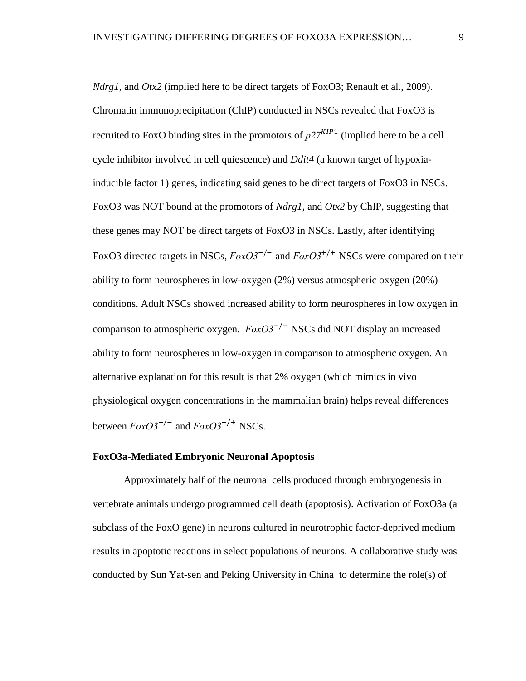*Ndrg1*, and *Otx2* (implied here to be direct targets of FoxO3; Renault et al., 2009). Chromatin immunoprecipitation (ChIP) conducted in NSCs revealed that FoxO3 is recruited to FoxO binding sites in the promotors of  $p27<sup>KIP1</sup>$  (implied here to be a cell cycle inhibitor involved in cell quiescence) and *Ddit4* (a known target of hypoxiainducible factor 1) genes, indicating said genes to be direct targets of FoxO3 in NSCs. FoxO3 was NOT bound at the promotors of *Ndrg1*, and *Otx2* by ChIP, suggesting that these genes may NOT be direct targets of FoxO3 in NSCs. Lastly, after identifying FoxO3 directed targets in NSCs, *FoxO3*−/− and *FoxO3*+/+ NSCs were compared on their ability to form neurospheres in low-oxygen (2%) versus atmospheric oxygen (20%) conditions. Adult NSCs showed increased ability to form neurospheres in low oxygen in comparison to atmospheric oxygen. *FoxO3*−/− NSCs did NOT display an increased ability to form neurospheres in low-oxygen in comparison to atmospheric oxygen. An alternative explanation for this result is that 2% oxygen (which mimics in vivo physiological oxygen concentrations in the mammalian brain) helps reveal differences between *FoxO3*−/− and *FoxO3*+/+ NSCs.

#### <span id="page-15-0"></span>**FoxO3a-Mediated Embryonic Neuronal Apoptosis**

Approximately half of the neuronal cells produced through embryogenesis in vertebrate animals undergo programmed cell death (apoptosis). Activation of FoxO3a (a subclass of the FoxO gene) in neurons cultured in neurotrophic factor-deprived medium results in apoptotic reactions in select populations of neurons. A collaborative study was conducted by Sun Yat-sen and Peking University in China to determine the role(s) of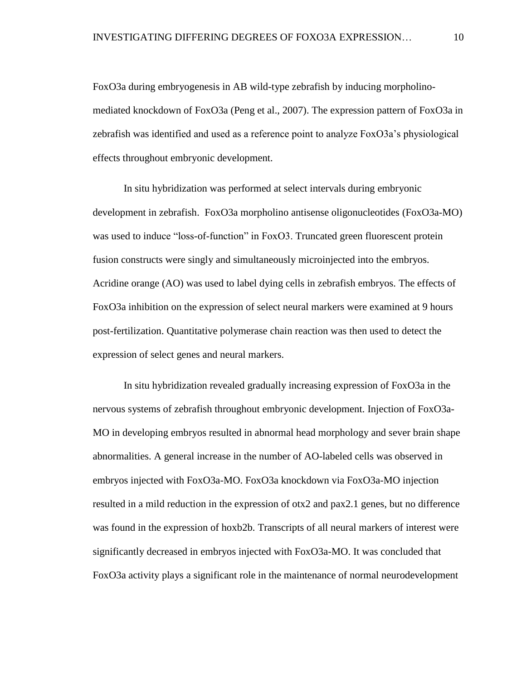FoxO3a during embryogenesis in AB wild-type zebrafish by inducing morpholinomediated knockdown of FoxO3a (Peng et al., 2007). The expression pattern of FoxO3a in zebrafish was identified and used as a reference point to analyze FoxO3a's physiological effects throughout embryonic development.

In situ hybridization was performed at select intervals during embryonic development in zebrafish. FoxO3a morpholino antisense oligonucleotides (FoxO3a-MO) was used to induce "loss-of-function" in FoxO3. Truncated green fluorescent protein fusion constructs were singly and simultaneously microinjected into the embryos. Acridine orange (AO) was used to label dying cells in zebrafish embryos. The effects of FoxO3a inhibition on the expression of select neural markers were examined at 9 hours post-fertilization. Quantitative polymerase chain reaction was then used to detect the expression of select genes and neural markers.

In situ hybridization revealed gradually increasing expression of FoxO3a in the nervous systems of zebrafish throughout embryonic development. Injection of FoxO3a-MO in developing embryos resulted in abnormal head morphology and sever brain shape abnormalities. A general increase in the number of AO-labeled cells was observed in embryos injected with FoxO3a-MO. FoxO3a knockdown via FoxO3a-MO injection resulted in a mild reduction in the expression of otx2 and pax2.1 genes, but no difference was found in the expression of hoxb2b. Transcripts of all neural markers of interest were significantly decreased in embryos injected with FoxO3a-MO. It was concluded that FoxO3a activity plays a significant role in the maintenance of normal neurodevelopment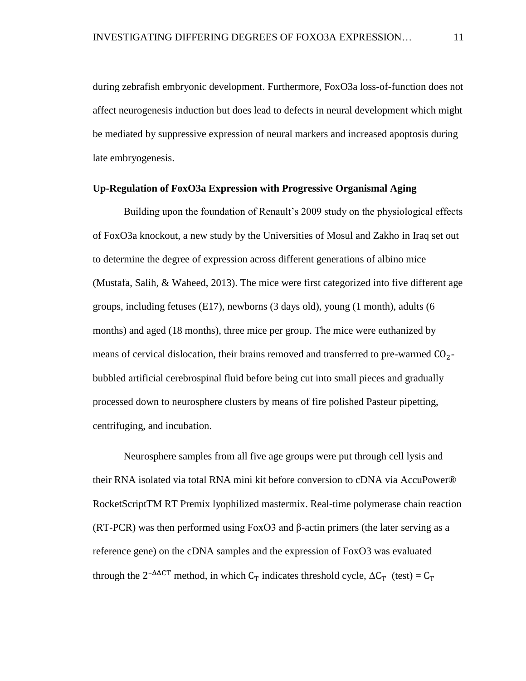during zebrafish embryonic development. Furthermore, FoxO3a loss-of-function does not affect neurogenesis induction but does lead to defects in neural development which might be mediated by suppressive expression of neural markers and increased apoptosis during late embryogenesis.

#### <span id="page-17-0"></span>**Up-Regulation of FoxO3a Expression with Progressive Organismal Aging**

Building upon the foundation of Renault's 2009 study on the physiological effects of FoxO3a knockout, a new study by the Universities of Mosul and Zakho in Iraq set out to determine the degree of expression across different generations of albino mice (Mustafa, Salih, & Waheed, 2013). The mice were first categorized into five different age groups, including fetuses (E17), newborns (3 days old), young (1 month), adults (6 months) and aged (18 months), three mice per group. The mice were euthanized by means of cervical dislocation, their brains removed and transferred to pre-warmed  $CO<sub>2</sub>$ bubbled artificial cerebrospinal fluid before being cut into small pieces and gradually processed down to neurosphere clusters by means of fire polished Pasteur pipetting, centrifuging, and incubation.

Neurosphere samples from all five age groups were put through cell lysis and their RNA isolated via total RNA mini kit before conversion to cDNA via AccuPower® RocketScriptTM RT Premix lyophilized mastermix. Real-time polymerase chain reaction (RT-PCR) was then performed using FoxO3 and  $\beta$ -actin primers (the later serving as a reference gene) on the cDNA samples and the expression of FoxO3 was evaluated through the  $2^{-\Delta\Delta CT}$  method, in which  $C_T$  indicates threshold cycle,  $\Delta C_T$  (test) =  $C_T$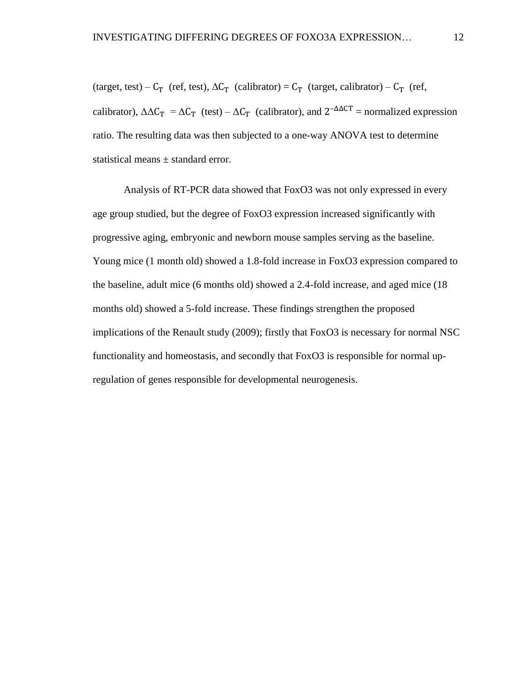(target, test) –  $C_T$  (ref, test),  $\Delta C_T$  (calibrator) =  $C_T$  (target, calibrator) –  $C_T$  (ref, calibrator),  $\Delta \Delta C_T = \Delta C_T$  (test) –  $\Delta C_T$  (calibrator), and  $2^{-\Delta \Delta CT}$  = normalized expression ratio. The resulting data was then subjected to a one-way ANOVA test to determine statistical means ± standard error.

Analysis of RT-PCR data showed that FoxO3 was not only expressed in every age group studied, but the degree of FoxO3 expression increased significantly with progressive aging, embryonic and newborn mouse samples serving as the baseline. Young mice (1 month old) showed a 1.8-fold increase in FoxO3 expression compared to the baseline, adult mice (6 months old) showed a 2.4-fold increase, and aged mice (18 months old) showed a 5-fold increase. These findings strengthen the proposed implications of the Renault study (2009); firstly that FoxO3 is necessary for normal NSC functionality and homeostasis, and secondly that FoxO3 is responsible for normal upregulation of genes responsible for developmental neurogenesis.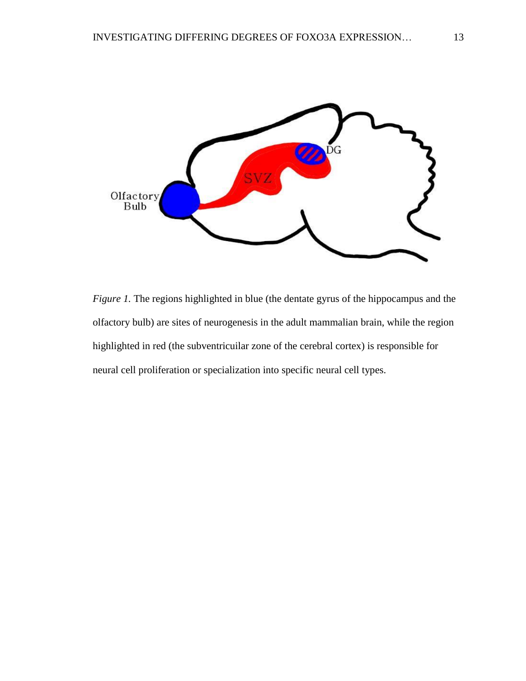

<span id="page-19-0"></span>*Figure 1*. The regions highlighted in blue (the dentate gyrus of the hippocampus and the olfactory bulb) are sites of neurogenesis in the adult mammalian brain, while the region highlighted in red (the subventricuilar zone of the cerebral cortex) is responsible for neural cell proliferation or specialization into specific neural cell types.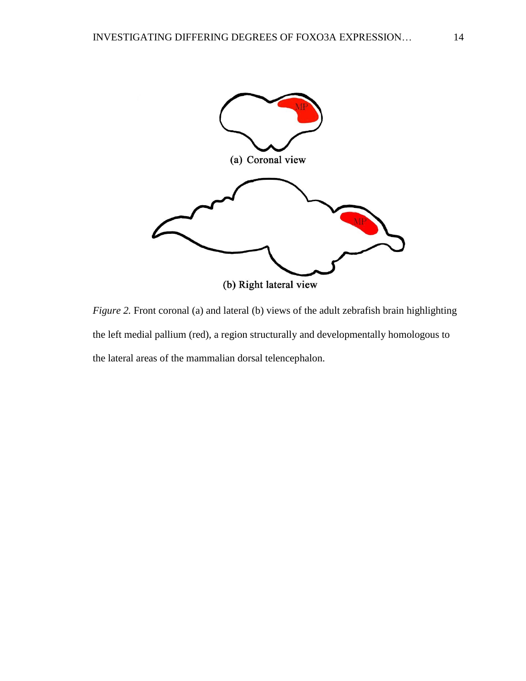

<span id="page-20-0"></span>*Figure 2.* Front coronal (a) and lateral (b) views of the adult zebrafish brain highlighting the left medial pallium (red), a region structurally and developmentally homologous to the lateral areas of the mammalian dorsal telencephalon.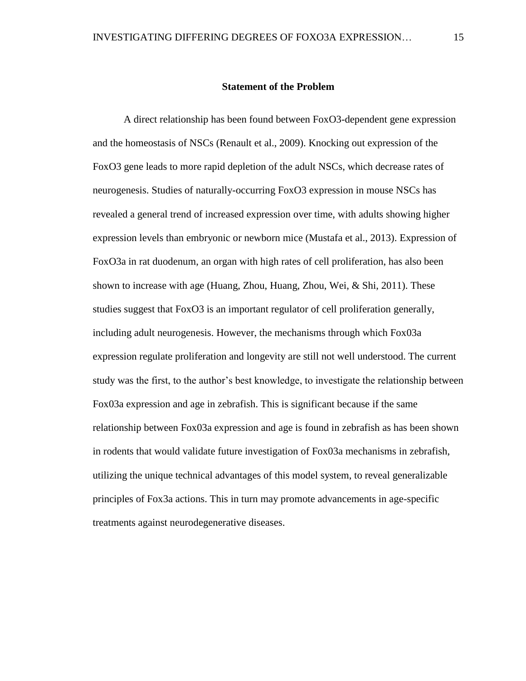#### **Statement of the Problem**

<span id="page-21-0"></span>A direct relationship has been found between FoxO3-dependent gene expression and the homeostasis of NSCs (Renault et al., 2009). Knocking out expression of the FoxO3 gene leads to more rapid depletion of the adult NSCs, which decrease rates of neurogenesis. Studies of naturally-occurring FoxO3 expression in mouse NSCs has revealed a general trend of increased expression over time, with adults showing higher expression levels than embryonic or newborn mice (Mustafa et al., 2013). Expression of FoxO3a in rat duodenum, an organ with high rates of cell proliferation, has also been shown to increase with age (Huang, Zhou, Huang, Zhou, Wei, & Shi, 2011). These studies suggest that FoxO3 is an important regulator of cell proliferation generally, including adult neurogenesis. However, the mechanisms through which Fox03a expression regulate proliferation and longevity are still not well understood. The current study was the first, to the author's best knowledge, to investigate the relationship between Fox03a expression and age in zebrafish. This is significant because if the same relationship between Fox03a expression and age is found in zebrafish as has been shown in rodents that would validate future investigation of Fox03a mechanisms in zebrafish, utilizing the unique technical advantages of this model system, to reveal generalizable principles of Fox3a actions. This in turn may promote advancements in age-specific treatments against neurodegenerative diseases.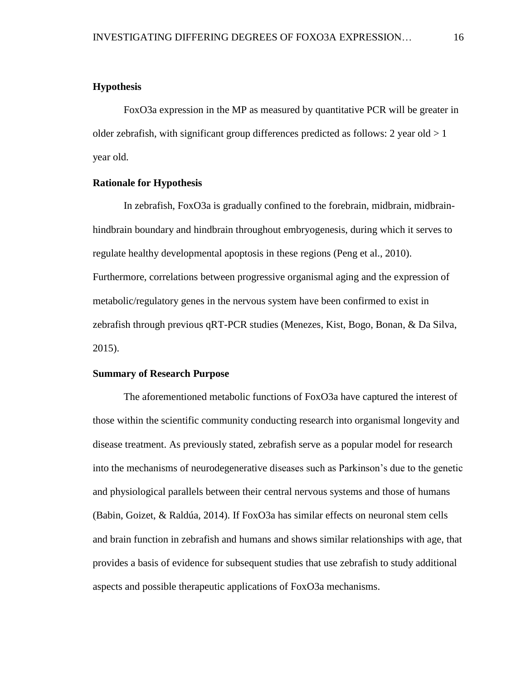## <span id="page-22-0"></span>**Hypothesis**

FoxO3a expression in the MP as measured by quantitative PCR will be greater in older zebrafish, with significant group differences predicted as follows: 2 year old  $>1$ year old.

## <span id="page-22-1"></span>**Rationale for Hypothesis**

In zebrafish, FoxO3a is gradually confined to the forebrain, midbrain, midbrainhindbrain boundary and hindbrain throughout embryogenesis, during which it serves to regulate healthy developmental apoptosis in these regions (Peng et al., 2010). Furthermore, correlations between progressive organismal aging and the expression of metabolic/regulatory genes in the nervous system have been confirmed to exist in zebrafish through previous qRT-PCR studies (Menezes, Kist, Bogo, Bonan, & Da Silva, 2015).

## <span id="page-22-2"></span>**Summary of Research Purpose**

The aforementioned metabolic functions of FoxO3a have captured the interest of those within the scientific community conducting research into organismal longevity and disease treatment. As previously stated, zebrafish serve as a popular model for research into the mechanisms of neurodegenerative diseases such as Parkinson's due to the genetic and physiological parallels between their central nervous systems and those of humans (Babin, Goizet, & Raldúa, 2014). If FoxO3a has similar effects on neuronal stem cells and brain function in zebrafish and humans and shows similar relationships with age, that provides a basis of evidence for subsequent studies that use zebrafish to study additional aspects and possible therapeutic applications of FoxO3a mechanisms.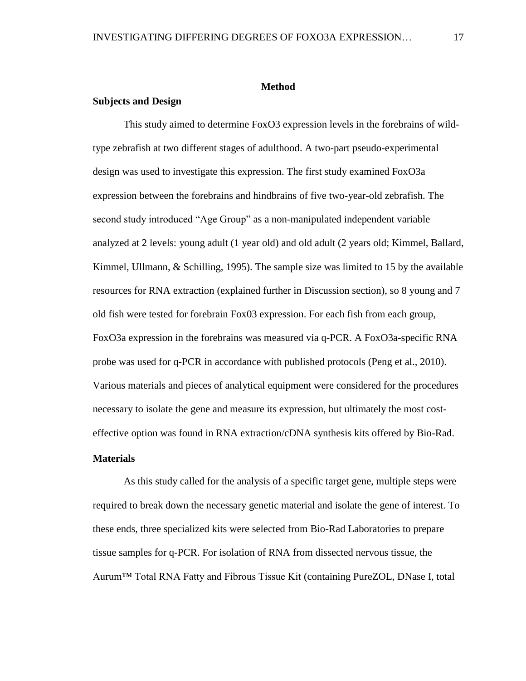#### **Method**

## <span id="page-23-1"></span><span id="page-23-0"></span>**Subjects and Design**

This study aimed to determine FoxO3 expression levels in the forebrains of wildtype zebrafish at two different stages of adulthood. A two-part pseudo-experimental design was used to investigate this expression. The first study examined FoxO3a expression between the forebrains and hindbrains of five two-year-old zebrafish. The second study introduced "Age Group" as a non-manipulated independent variable analyzed at 2 levels: young adult (1 year old) and old adult (2 years old; Kimmel, Ballard, Kimmel, Ullmann,  $\&$  Schilling, 1995). The sample size was limited to 15 by the available resources for RNA extraction (explained further in Discussion section), so 8 young and 7 old fish were tested for forebrain Fox03 expression. For each fish from each group, FoxO3a expression in the forebrains was measured via q-PCR. A FoxO3a-specific RNA probe was used for q-PCR in accordance with published protocols (Peng et al., 2010). Various materials and pieces of analytical equipment were considered for the procedures necessary to isolate the gene and measure its expression, but ultimately the most costeffective option was found in RNA extraction/cDNA synthesis kits offered by Bio-Rad.

## <span id="page-23-2"></span>**Materials**

As this study called for the analysis of a specific target gene, multiple steps were required to break down the necessary genetic material and isolate the gene of interest. To these ends, three specialized kits were selected from Bio-Rad Laboratories to prepare tissue samples for q-PCR. For isolation of RNA from dissected nervous tissue, the Aurum™ Total RNA Fatty and Fibrous Tissue Kit (containing PureZOL, DNase I, total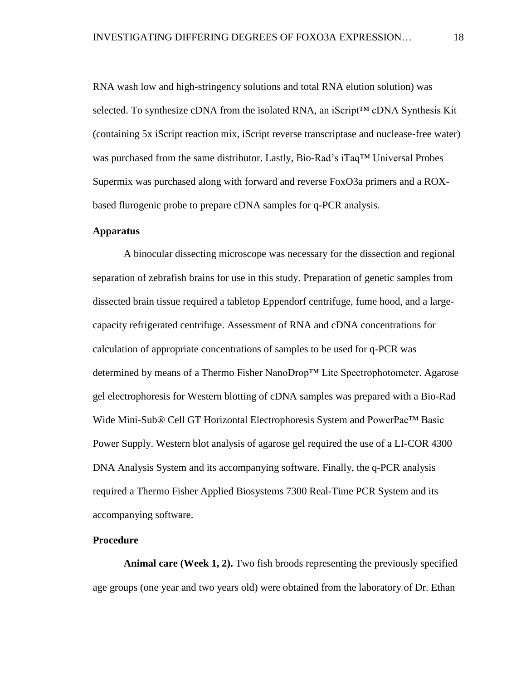RNA wash low and high-stringency solutions and total RNA elution solution) was selected. To synthesize cDNA from the isolated RNA, an iScript™ cDNA Synthesis Kit (containing 5x iScript reaction mix, iScript reverse transcriptase and nuclease-free water) was purchased from the same distributor. Lastly, Bio-Rad's iTaq™ Universal Probes Supermix was purchased along with forward and reverse FoxO3a primers and a ROXbased flurogenic probe to prepare cDNA samples for q-PCR analysis.

## <span id="page-24-0"></span>**Apparatus**

A binocular dissecting microscope was necessary for the dissection and regional separation of zebrafish brains for use in this study. Preparation of genetic samples from dissected brain tissue required a tabletop Eppendorf centrifuge, fume hood, and a largecapacity refrigerated centrifuge. Assessment of RNA and cDNA concentrations for calculation of appropriate concentrations of samples to be used for q-PCR was determined by means of a Thermo Fisher NanoDrop™ Lite Spectrophotometer. Agarose gel electrophoresis for Western blotting of cDNA samples was prepared with a Bio-Rad Wide Mini-Sub® Cell GT Horizontal Electrophoresis System and PowerPac™ Basic Power Supply. Western blot analysis of agarose gel required the use of a LI-COR 4300 DNA Analysis System and its accompanying software. Finally, the q-PCR analysis required a Thermo Fisher Applied Biosystems 7300 Real-Time PCR System and its accompanying software.

## <span id="page-24-1"></span>**Procedure**

<span id="page-24-2"></span>**Animal care (Week 1, 2).** Two fish broods representing the previously specified age groups (one year and two years old) were obtained from the laboratory of Dr. Ethan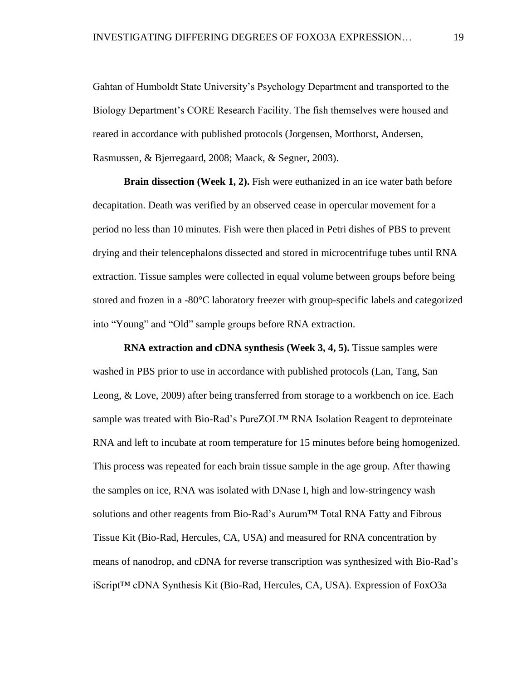Gahtan of Humboldt State University's Psychology Department and transported to the Biology Department's CORE Research Facility. The fish themselves were housed and reared in accordance with published protocols (Jorgensen, Morthorst, Andersen, Rasmussen, & Bjerregaard, 2008; Maack, & Segner, 2003).

<span id="page-25-0"></span>**Brain dissection (Week 1, 2).** Fish were euthanized in an ice water bath before decapitation. Death was verified by an observed cease in opercular movement for a period no less than 10 minutes. Fish were then placed in Petri dishes of PBS to prevent drying and their telencephalons dissected and stored in microcentrifuge tubes until RNA extraction. Tissue samples were collected in equal volume between groups before being stored and frozen in a -80°C laboratory freezer with group-specific labels and categorized into "Young" and "Old" sample groups before RNA extraction.

<span id="page-25-1"></span>**RNA extraction and cDNA synthesis (Week 3, 4, 5).** Tissue samples were washed in PBS prior to use in accordance with published protocols (Lan, Tang, San Leong, & Love, 2009) after being transferred from storage to a workbench on ice. Each sample was treated with Bio-Rad's PureZOL™ RNA Isolation Reagent to deproteinate RNA and left to incubate at room temperature for 15 minutes before being homogenized. This process was repeated for each brain tissue sample in the age group. After thawing the samples on ice, RNA was isolated with DNase I, high and low-stringency wash solutions and other reagents from Bio-Rad's Aurum™ Total RNA Fatty and Fibrous Tissue Kit (Bio-Rad, Hercules, CA, USA) and measured for RNA concentration by means of nanodrop, and cDNA for reverse transcription was synthesized with Bio-Rad's iScript™ cDNA Synthesis Kit (Bio-Rad, Hercules, CA, USA). Expression of FoxO3a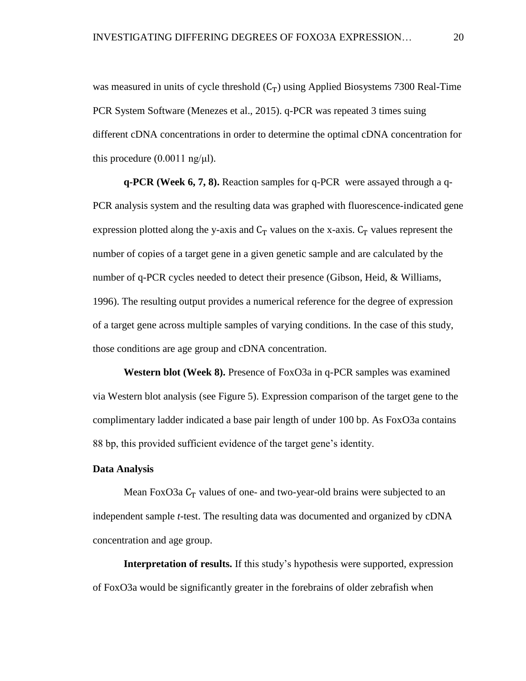was measured in units of cycle threshold  $(C_T)$  using Applied Biosystems 7300 Real-Time PCR System Software (Menezes et al., 2015). q-PCR was repeated 3 times suing different cDNA concentrations in order to determine the optimal cDNA concentration for this procedure  $(0.0011 \text{ ng/µl}).$ 

<span id="page-26-0"></span>**q-PCR (Week 6, 7, 8).** Reaction samples for q-PCR were assayed through a q-PCR analysis system and the resulting data was graphed with fluorescence-indicated gene expression plotted along the y-axis and  $C_T$  values on the x-axis.  $C_T$  values represent the number of copies of a target gene in a given genetic sample and are calculated by the number of q-PCR cycles needed to detect their presence (Gibson, Heid, & Williams, 1996). The resulting output provides a numerical reference for the degree of expression of a target gene across multiple samples of varying conditions. In the case of this study, those conditions are age group and cDNA concentration.

<span id="page-26-1"></span>**Western blot (Week 8).** Presence of FoxO3a in q-PCR samples was examined via Western blot analysis (see Figure 5). Expression comparison of the target gene to the complimentary ladder indicated a base pair length of under 100 bp. As FoxO3a contains 88 bp, this provided sufficient evidence of the target gene's identity.

## <span id="page-26-2"></span>**Data Analysis**

Mean FoxO3a  $C_T$  values of one- and two-year-old brains were subjected to an independent sample *t*-test. The resulting data was documented and organized by cDNA concentration and age group.

<span id="page-26-3"></span>**Interpretation of results.** If this study's hypothesis were supported, expression of FoxO3a would be significantly greater in the forebrains of older zebrafish when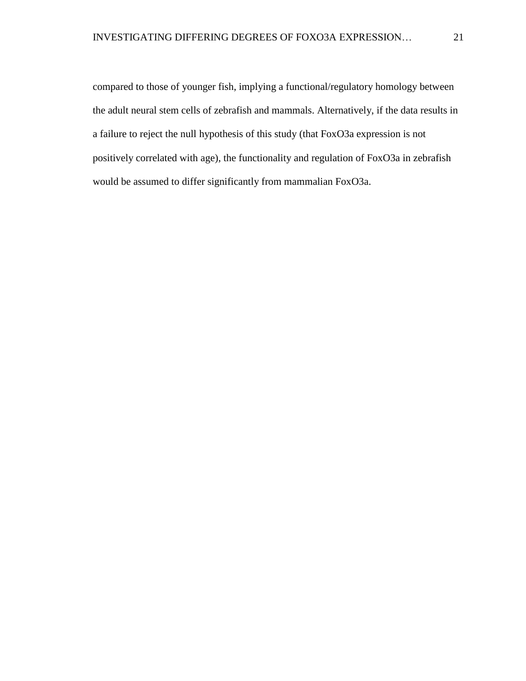compared to those of younger fish, implying a functional/regulatory homology between the adult neural stem cells of zebrafish and mammals. Alternatively, if the data results in a failure to reject the null hypothesis of this study (that FoxO3a expression is not positively correlated with age), the functionality and regulation of FoxO3a in zebrafish would be assumed to differ significantly from mammalian FoxO3a.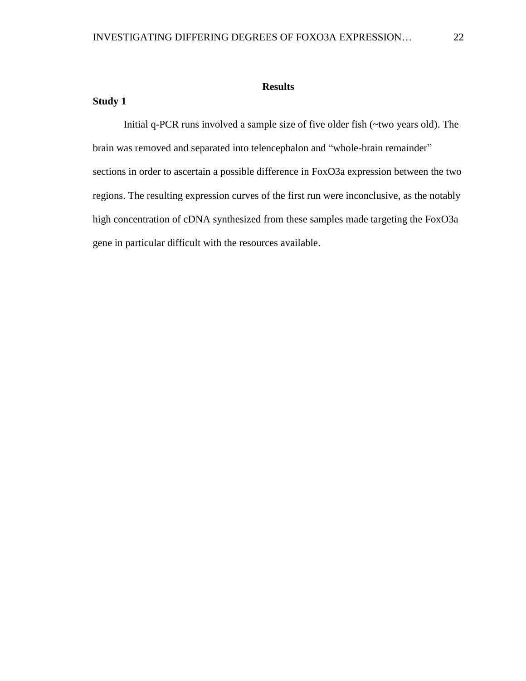## **Results**

## <span id="page-28-1"></span><span id="page-28-0"></span>**Study 1**

Initial q-PCR runs involved a sample size of five older fish (~two years old). The brain was removed and separated into telencephalon and "whole-brain remainder" sections in order to ascertain a possible difference in FoxO3a expression between the two regions. The resulting expression curves of the first run were inconclusive, as the notably high concentration of cDNA synthesized from these samples made targeting the FoxO3a gene in particular difficult with the resources available.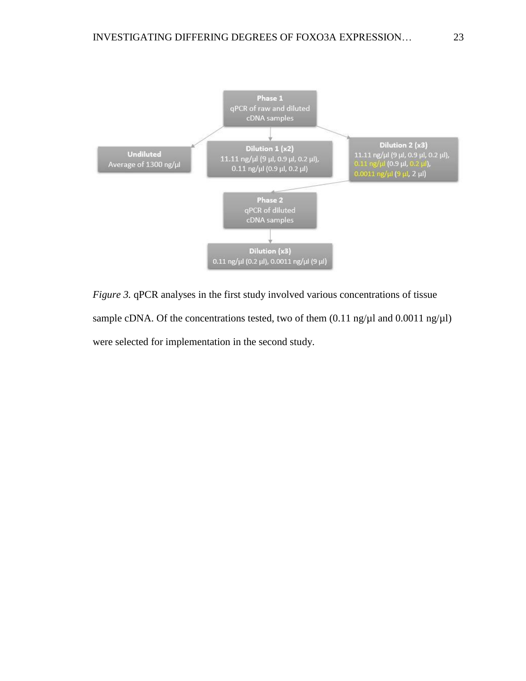

<span id="page-29-0"></span>*Figure 3.* qPCR analyses in the first study involved various concentrations of tissue sample cDNA. Of the concentrations tested, two of them  $(0.11 \text{ ng}/\mu\text{I} \text{ and } 0.0011 \text{ ng}/\mu\text{I})$ were selected for implementation in the second study.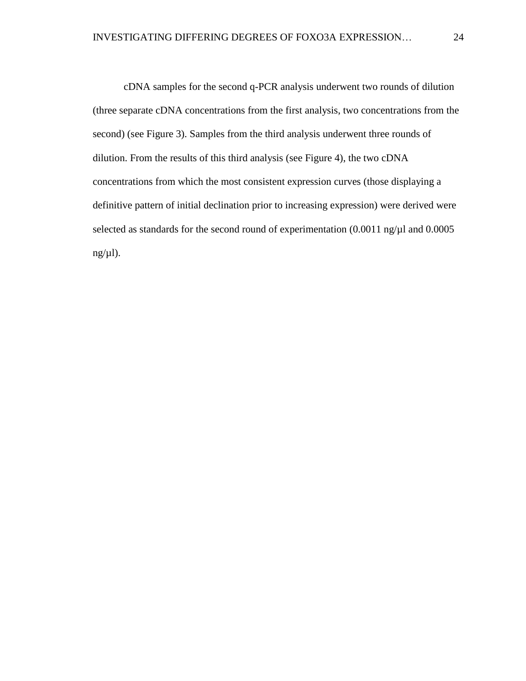cDNA samples for the second q-PCR analysis underwent two rounds of dilution (three separate cDNA concentrations from the first analysis, two concentrations from the second) (see Figure 3). Samples from the third analysis underwent three rounds of dilution. From the results of this third analysis (see Figure 4), the two cDNA concentrations from which the most consistent expression curves (those displaying a definitive pattern of initial declination prior to increasing expression) were derived were selected as standards for the second round of experimentation (0.0011 ng/ $\mu$ l and 0.0005  $ng(\mu l)$ .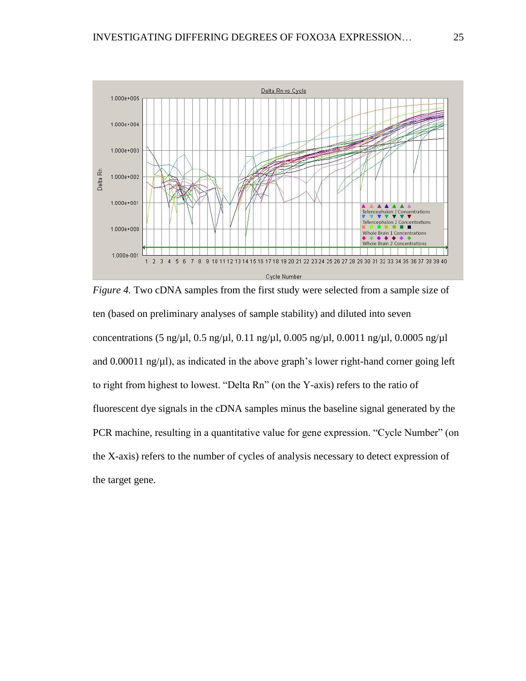

*Figure 4.* Two cDNA samples from the first study were selected from a sample size of ten (based on preliminary analyses of sample stability) and diluted into seven concentrations (5 ng/ $\mu$ l, 0.5 ng/ $\mu$ l, 0.11 ng/ $\mu$ l, 0.005 ng/ $\mu$ l, 0.0011 ng/ $\mu$ l, 0.0005 ng/ $\mu$ l and  $0.00011$  ng/ $\mu$ l), as indicated in the above graph's lower right-hand corner going left to right from highest to lowest. "Delta Rn" (on the Y-axis) refers to the ratio of fluorescent dye signals in the cDNA samples minus the baseline signal generated by the PCR machine, resulting in a quantitative value for gene expression. "Cycle Number" (on the X-axis) refers to the number of cycles of analysis necessary to detect expression of the target gene.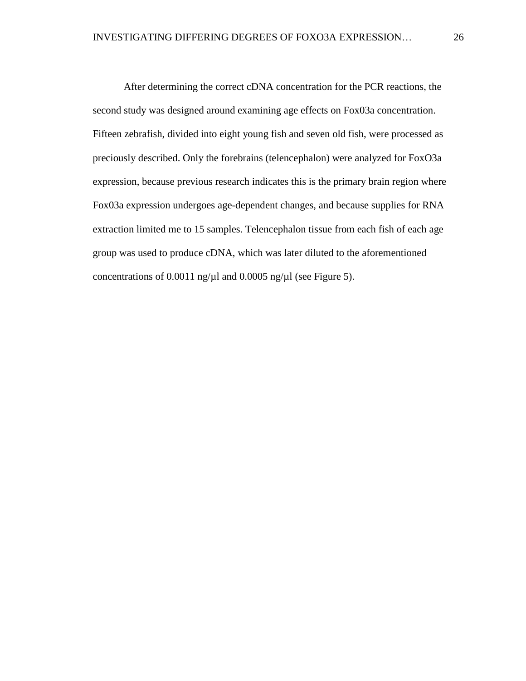After determining the correct cDNA concentration for the PCR reactions, the second study was designed around examining age effects on Fox03a concentration. Fifteen zebrafish, divided into eight young fish and seven old fish, were processed as preciously described. Only the forebrains (telencephalon) were analyzed for FoxO3a expression, because previous research indicates this is the primary brain region where Fox03a expression undergoes age-dependent changes, and because supplies for RNA extraction limited me to 15 samples. Telencephalon tissue from each fish of each age group was used to produce cDNA, which was later diluted to the aforementioned concentrations of 0.0011 ng/ $\mu$ l and 0.0005 ng/ $\mu$ l (see Figure 5).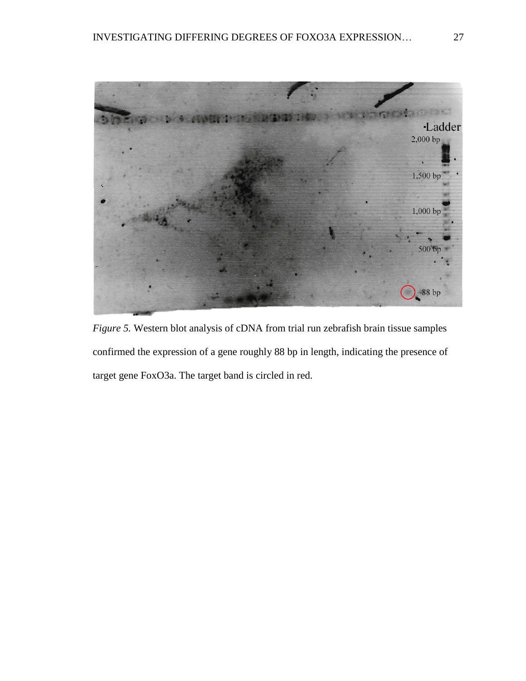

*Figure 5.* Western blot analysis of cDNA from trial run zebrafish brain tissue samples confirmed the expression of a gene roughly 88 bp in length, indicating the presence of target gene FoxO3a. The target band is circled in red.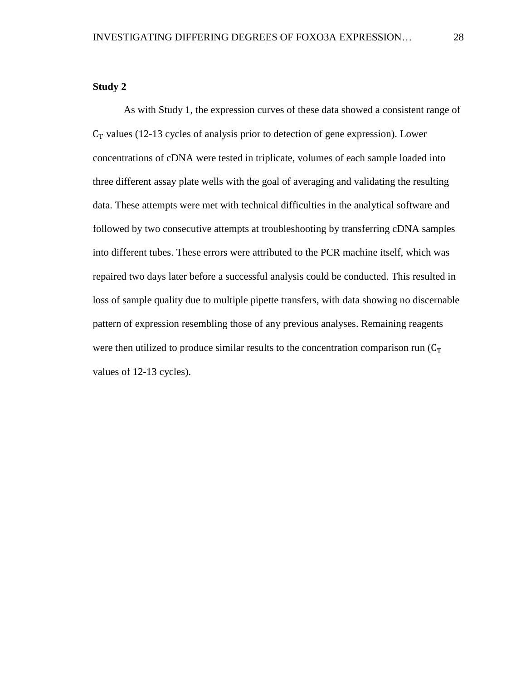## <span id="page-34-0"></span>**Study 2**

As with Study 1, the expression curves of these data showed a consistent range of  $C_T$  values (12-13 cycles of analysis prior to detection of gene expression). Lower concentrations of cDNA were tested in triplicate, volumes of each sample loaded into three different assay plate wells with the goal of averaging and validating the resulting data. These attempts were met with technical difficulties in the analytical software and followed by two consecutive attempts at troubleshooting by transferring cDNA samples into different tubes. These errors were attributed to the PCR machine itself, which was repaired two days later before a successful analysis could be conducted. This resulted in loss of sample quality due to multiple pipette transfers, with data showing no discernable pattern of expression resembling those of any previous analyses. Remaining reagents were then utilized to produce similar results to the concentration comparison run  $(C_T)$ values of 12-13 cycles).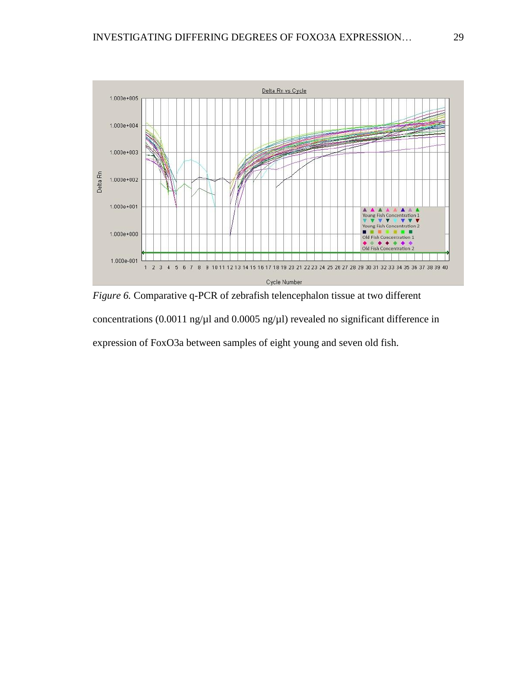

*Figure 6.* Comparative q-PCR of zebrafish telencephalon tissue at two different concentrations (0.0011 ng/ $\mu$ l and 0.0005 ng/ $\mu$ l) revealed no significant difference in expression of FoxO3a between samples of eight young and seven old fish.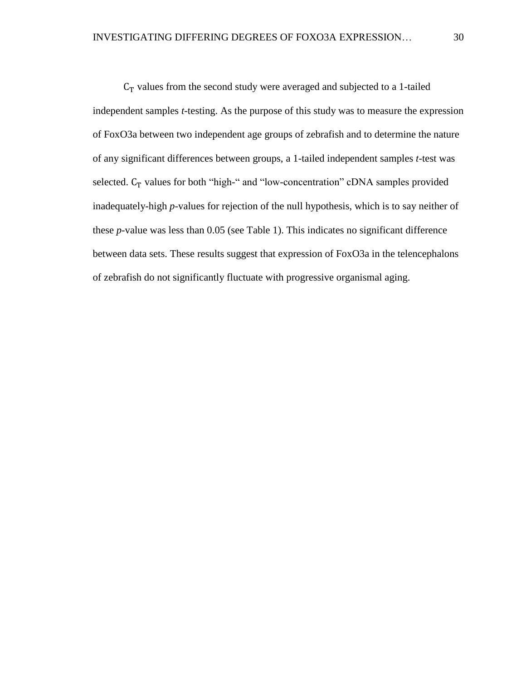$C_T$  values from the second study were averaged and subjected to a 1-tailed independent samples *t*-testing. As the purpose of this study was to measure the expression of FoxO3a between two independent age groups of zebrafish and to determine the nature of any significant differences between groups, a 1-tailed independent samples *t*-test was selected.  $C_T$  values for both "high-" and "low-concentration" cDNA samples provided inadequately-high *p*-values for rejection of the null hypothesis, which is to say neither of these *p*-value was less than 0.05 (see Table 1). This indicates no significant difference between data sets. These results suggest that expression of FoxO3a in the telencephalons of zebrafish do not significantly fluctuate with progressive organismal aging.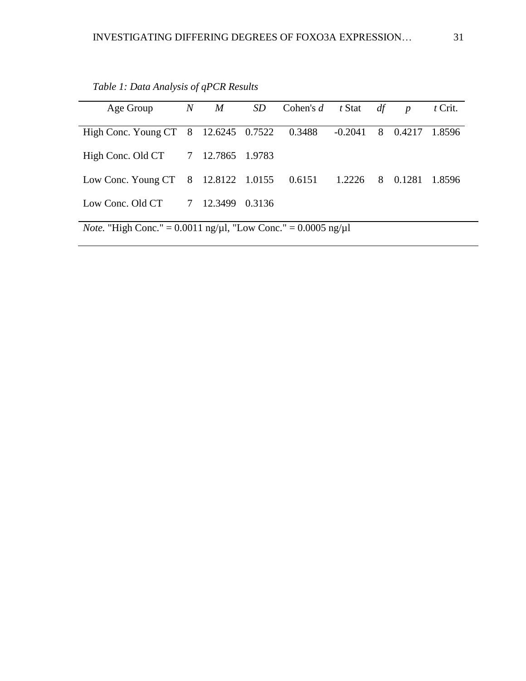| Age Group                                                                            |  | $N$ $M$ |  | SD Cohen's d t Stat df |           |   | $\boldsymbol{p}$ | $t$ Crit. |  |
|--------------------------------------------------------------------------------------|--|---------|--|------------------------|-----------|---|------------------|-----------|--|
| High Conc. Young CT 8 12.6245 0.7522 0.3488                                          |  |         |  |                        | $-0.2041$ | 8 | 0.4217           | 1.8596    |  |
| High Conc. Old CT 7 12.7865 1.9783                                                   |  |         |  |                        |           |   |                  |           |  |
| Low Conc. Young CT 8 12.8122 1.0155 0.6151 1.2226 8                                  |  |         |  |                        |           |   | 0.1281           | 1.8596    |  |
| Low Conc. Old CT 7 12.3499 0.3136                                                    |  |         |  |                        |           |   |                  |           |  |
| <i>Note.</i> "High Conc." = $0.0011$ ng/ $\mu$ l, "Low Conc." = $0.0005$ ng/ $\mu$ l |  |         |  |                        |           |   |                  |           |  |

<span id="page-37-0"></span>*Table 1: Data Analysis of qPCR Results*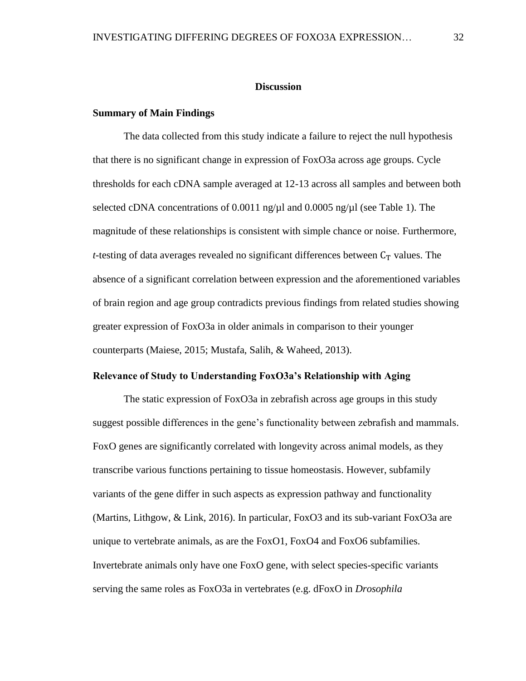#### **Discussion**

## <span id="page-38-1"></span><span id="page-38-0"></span>**Summary of Main Findings**

The data collected from this study indicate a failure to reject the null hypothesis that there is no significant change in expression of FoxO3a across age groups. Cycle thresholds for each cDNA sample averaged at 12-13 across all samples and between both selected cDNA concentrations of 0.0011 ng/ $\mu$ l and 0.0005 ng/ $\mu$ l (see Table 1). The magnitude of these relationships is consistent with simple chance or noise. Furthermore, *t*-testing of data averages revealed no significant differences between  $C_T$  values. The absence of a significant correlation between expression and the aforementioned variables of brain region and age group contradicts previous findings from related studies showing greater expression of FoxO3a in older animals in comparison to their younger counterparts (Maiese, 2015; Mustafa, Salih, & Waheed, 2013).

## <span id="page-38-2"></span>**Relevance of Study to Understanding FoxO3a's Relationship with Aging**

The static expression of FoxO3a in zebrafish across age groups in this study suggest possible differences in the gene's functionality between zebrafish and mammals. FoxO genes are significantly correlated with longevity across animal models, as they transcribe various functions pertaining to tissue homeostasis. However, subfamily variants of the gene differ in such aspects as expression pathway and functionality (Martins, Lithgow, & Link, 2016). In particular, FoxO3 and its sub-variant FoxO3a are unique to vertebrate animals, as are the FoxO1, FoxO4 and FoxO6 subfamilies. Invertebrate animals only have one FoxO gene, with select species-specific variants serving the same roles as FoxO3a in vertebrates (e.g. dFoxO in *Drosophila*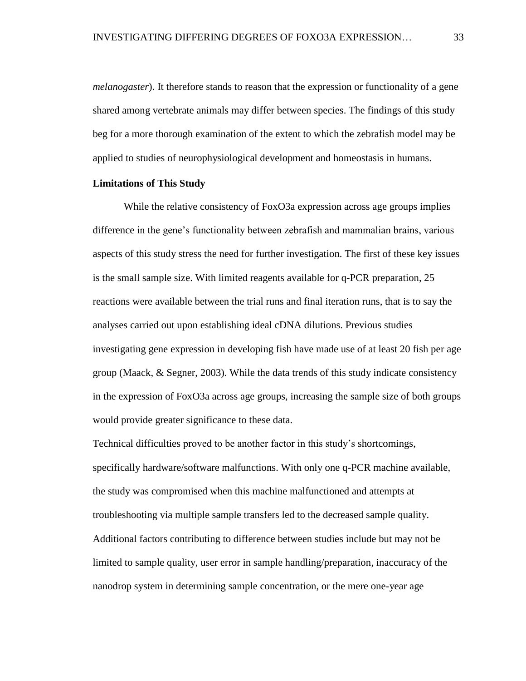*melanogaster*). It therefore stands to reason that the expression or functionality of a gene shared among vertebrate animals may differ between species. The findings of this study beg for a more thorough examination of the extent to which the zebrafish model may be applied to studies of neurophysiological development and homeostasis in humans.

#### <span id="page-39-0"></span>**Limitations of This Study**

While the relative consistency of FoxO3a expression across age groups implies difference in the gene's functionality between zebrafish and mammalian brains, various aspects of this study stress the need for further investigation. The first of these key issues is the small sample size. With limited reagents available for q-PCR preparation, 25 reactions were available between the trial runs and final iteration runs, that is to say the analyses carried out upon establishing ideal cDNA dilutions. Previous studies investigating gene expression in developing fish have made use of at least 20 fish per age group (Maack, & Segner, 2003). While the data trends of this study indicate consistency in the expression of FoxO3a across age groups, increasing the sample size of both groups would provide greater significance to these data.

Technical difficulties proved to be another factor in this study's shortcomings, specifically hardware/software malfunctions. With only one q-PCR machine available, the study was compromised when this machine malfunctioned and attempts at troubleshooting via multiple sample transfers led to the decreased sample quality. Additional factors contributing to difference between studies include but may not be limited to sample quality, user error in sample handling/preparation, inaccuracy of the nanodrop system in determining sample concentration, or the mere one-year age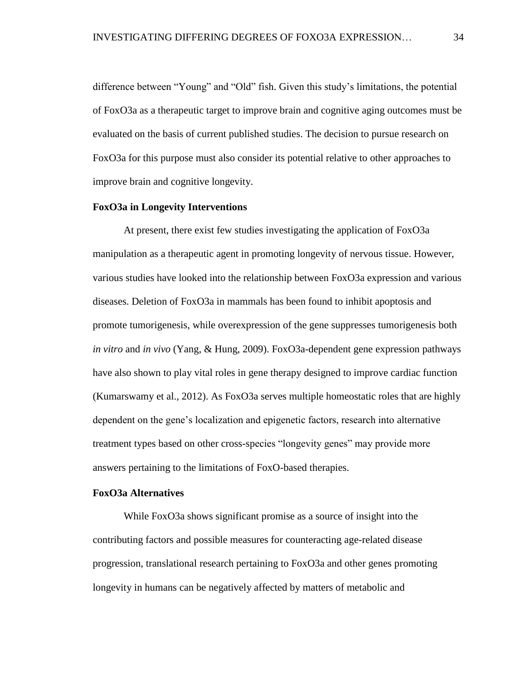difference between "Young" and "Old" fish. Given this study's limitations, the potential of FoxO3a as a therapeutic target to improve brain and cognitive aging outcomes must be evaluated on the basis of current published studies. The decision to pursue research on FoxO3a for this purpose must also consider its potential relative to other approaches to improve brain and cognitive longevity.

#### <span id="page-40-0"></span>**FoxO3a in Longevity Interventions**

At present, there exist few studies investigating the application of FoxO3a manipulation as a therapeutic agent in promoting longevity of nervous tissue. However, various studies have looked into the relationship between FoxO3a expression and various diseases. Deletion of FoxO3a in mammals has been found to inhibit apoptosis and promote tumorigenesis, while overexpression of the gene suppresses tumorigenesis both *in vitro* and *in vivo* (Yang, & Hung, 2009). FoxO3a-dependent gene expression pathways have also shown to play vital roles in gene therapy designed to improve cardiac function (Kumarswamy et al., 2012). As FoxO3a serves multiple homeostatic roles that are highly dependent on the gene's localization and epigenetic factors, research into alternative treatment types based on other cross-species "longevity genes" may provide more answers pertaining to the limitations of FoxO-based therapies.

## <span id="page-40-1"></span>**FoxO3a Alternatives**

While FoxO3a shows significant promise as a source of insight into the contributing factors and possible measures for counteracting age-related disease progression, translational research pertaining to FoxO3a and other genes promoting longevity in humans can be negatively affected by matters of metabolic and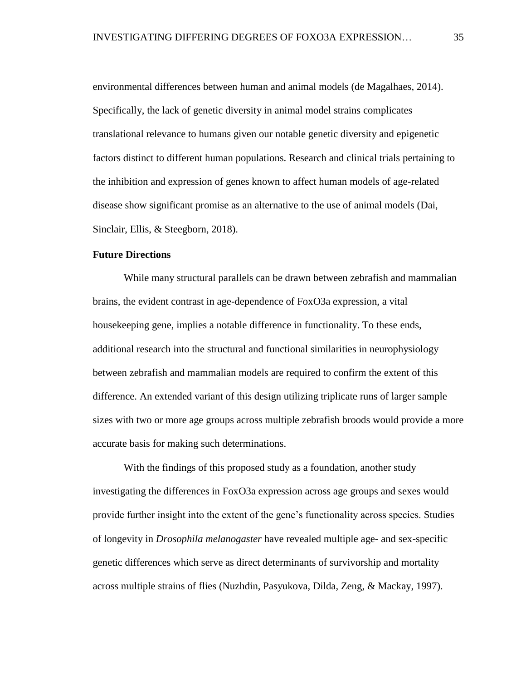environmental differences between human and animal models (de Magalhaes, 2014). Specifically, the lack of genetic diversity in animal model strains complicates translational relevance to humans given our notable genetic diversity and epigenetic factors distinct to different human populations. Research and clinical trials pertaining to the inhibition and expression of genes known to affect human models of age-related disease show significant promise as an alternative to the use of animal models (Dai, Sinclair, Ellis, & Steegborn, 2018).

#### <span id="page-41-0"></span>**Future Directions**

While many structural parallels can be drawn between zebrafish and mammalian brains, the evident contrast in age-dependence of FoxO3a expression, a vital housekeeping gene, implies a notable difference in functionality. To these ends, additional research into the structural and functional similarities in neurophysiology between zebrafish and mammalian models are required to confirm the extent of this difference. An extended variant of this design utilizing triplicate runs of larger sample sizes with two or more age groups across multiple zebrafish broods would provide a more accurate basis for making such determinations.

With the findings of this proposed study as a foundation, another study investigating the differences in FoxO3a expression across age groups and sexes would provide further insight into the extent of the gene's functionality across species. Studies of longevity in *Drosophila melanogaster* have revealed multiple age- and sex-specific genetic differences which serve as direct determinants of survivorship and mortality across multiple strains of flies (Nuzhdin, Pasyukova, Dilda, Zeng, & Mackay, 1997).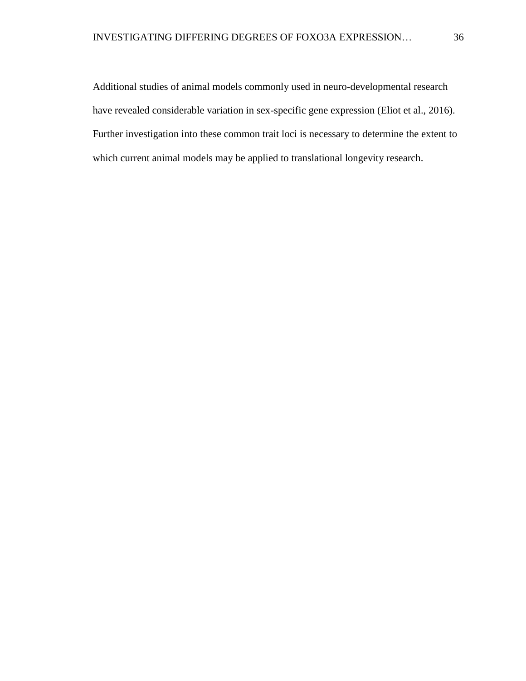Additional studies of animal models commonly used in neuro-developmental research have revealed considerable variation in sex-specific gene expression (Eliot et al., 2016). Further investigation into these common trait loci is necessary to determine the extent to which current animal models may be applied to translational longevity research.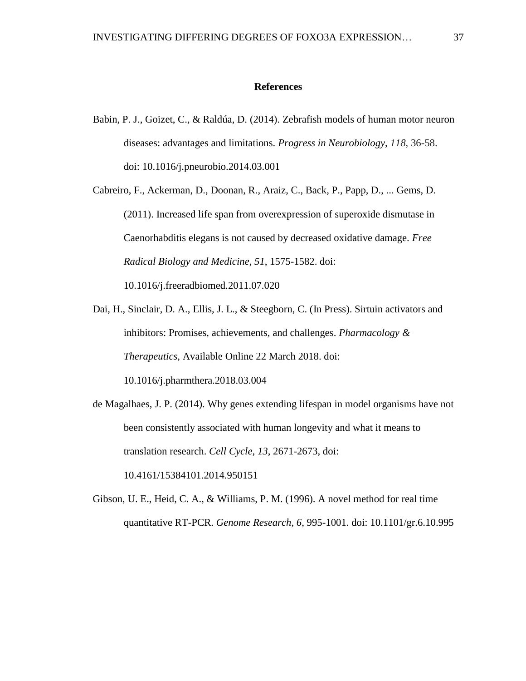#### **References**

- <span id="page-43-0"></span>Babin, P. J., Goizet, C., & Raldúa, D. (2014). Zebrafish models of human motor neuron diseases: advantages and limitations. *Progress in Neurobiology*, *118*, 36-58. doi: 10.1016/j.pneurobio.2014.03.001
- Cabreiro, F., Ackerman, D., Doonan, R., Araiz, C., Back, P., Papp, D., ... Gems, D. (2011). Increased life span from overexpression of superoxide dismutase in Caenorhabditis elegans is not caused by decreased oxidative damage. *Free Radical Biology and Medicine*, *51*, 1575-1582. doi:

10.1016/j.freeradbiomed.2011.07.020

- Dai, H., Sinclair, D. A., Ellis, J. L., & Steegborn, C. (In Press). Sirtuin activators and inhibitors: Promises, achievements, and challenges. *Pharmacology & Therapeutics*, Available Online 22 March 2018. doi: 10.1016/j.pharmthera.2018.03.004
- de Magalhaes, J. P. (2014). Why genes extending lifespan in model organisms have not been consistently associated with human longevity and what it means to translation research. *Cell Cycle*, *13*, 2671-2673, doi: 10.4161/15384101.2014.950151
- Gibson, U. E., Heid, C. A., & Williams, P. M. (1996). A novel method for real time quantitative RT-PCR. *Genome Research*, *6*, 995-1001. doi: 10.1101/gr.6.10.995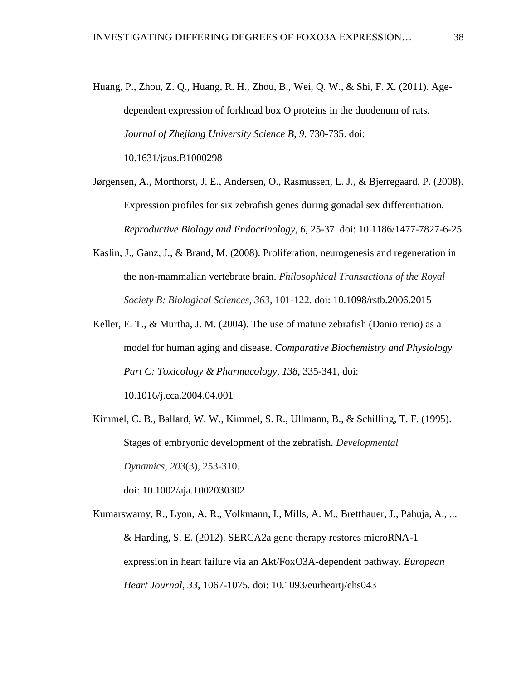Huang, P., Zhou, Z. Q., Huang, R. H., Zhou, B., Wei, Q. W., & Shi, F. X. (2011). Agedependent expression of forkhead box O proteins in the duodenum of rats. *Journal of Zhejiang University Science B*, *9*, 730-735. doi: 10.1631/jzus.B1000298

Jørgensen, A., Morthorst, J. E., Andersen, O., Rasmussen, L. J., & Bjerregaard, P. (2008). Expression profiles for six zebrafish genes during gonadal sex differentiation. *Reproductive Biology and Endocrinology*, *6*, 25-37. doi: 10.1186/1477-7827-6-25

- Kaslin, J., Ganz, J., & Brand, M. (2008). Proliferation, neurogenesis and regeneration in the non-mammalian vertebrate brain. *Philosophical Transactions of the Royal Society B: Biological Sciences*, *363*, 101-122. doi: 10.1098/rstb.2006.2015
- Keller, E. T., & Murtha, J. M. (2004). The use of mature zebrafish (Danio rerio) as a model for human aging and disease. *Comparative Biochemistry and Physiology Part C: Toxicology & Pharmacology*, *138*, 335-341, doi:

10.1016/j.cca.2004.04.001

Kimmel, C. B., Ballard, W. W., Kimmel, S. R., Ullmann, B., & Schilling, T. F. (1995). Stages of embryonic development of the zebrafish. *Developmental Dynamics*, *203*(3), 253-310. doi: 10.1002/aja.1002030302

Kumarswamy, R., Lyon, A. R., Volkmann, I., Mills, A. M., Bretthauer, J., Pahuja, A., ... & Harding, S. E. (2012). SERCA2a gene therapy restores microRNA-1 expression in heart failure via an Akt/FoxO3A-dependent pathway. *European Heart Journal*, *33*, 1067-1075. doi: 10.1093/eurheartj/ehs043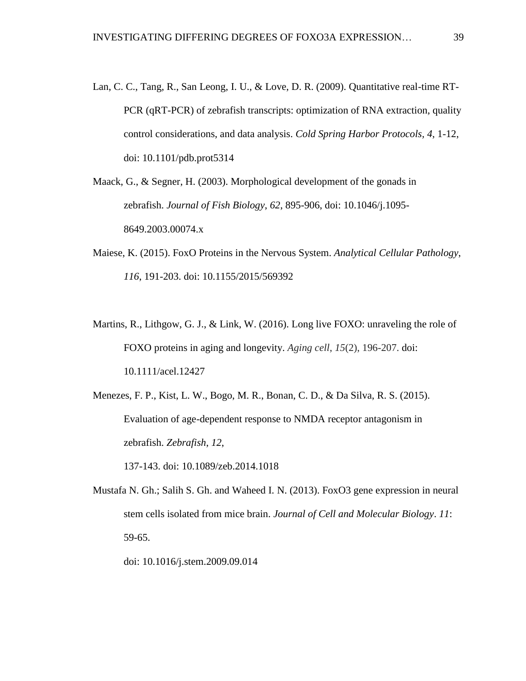- Lan, C. C., Tang, R., San Leong, I. U., & Love, D. R. (2009). Quantitative real-time RT-PCR (qRT-PCR) of zebrafish transcripts: optimization of RNA extraction, quality control considerations, and data analysis. *Cold Spring Harbor Protocols, 4*, 1-12, doi: 10.1101/pdb.prot5314
- Maack, G., & Segner, H. (2003). Morphological development of the gonads in zebrafish. *Journal of Fish Biology*, *62*, 895-906, doi: 10.1046/j.1095- 8649.2003.00074.x
- Maiese, K. (2015). FoxO Proteins in the Nervous System. *Analytical Cellular Pathology*, *116*, 191-203. doi: 10.1155/2015/569392
- Martins, R., Lithgow, G. J., & Link, W. (2016). Long live FOXO: unraveling the role of FOXO proteins in aging and longevity. *Aging cell*, *15*(2), 196-207. doi: 10.1111/acel.12427
- Menezes, F. P., Kist, L. W., Bogo, M. R., Bonan, C. D., & Da Silva, R. S. (2015). Evaluation of age-dependent response to NMDA receptor antagonism in zebrafish. *Zebrafish*, *12*,

137-143. doi: 10.1089/zeb.2014.1018

Mustafa N. Gh.; Salih S. Gh. and Waheed I. N. (2013). FoxO3 gene expression in neural stem cells isolated from mice brain. *Journal of Cell and Molecular Biology*. *11*: 59-65.

doi: 10.1016/j.stem.2009.09.014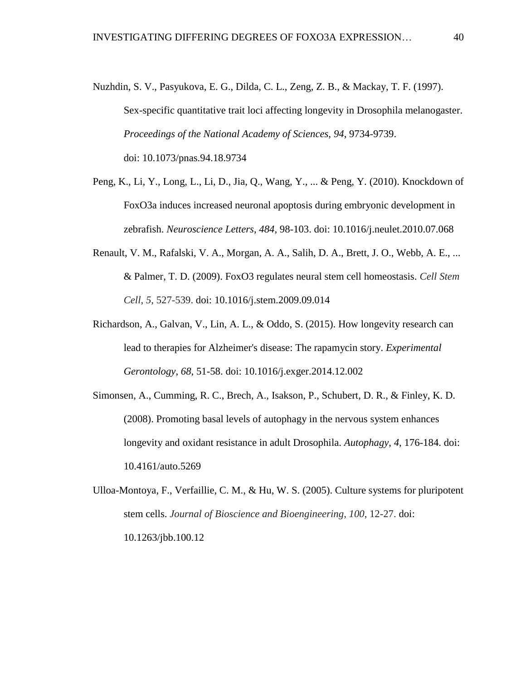- Nuzhdin, S. V., Pasyukova, E. G., Dilda, C. L., Zeng, Z. B., & Mackay, T. F. (1997). Sex-specific quantitative trait loci affecting longevity in Drosophila melanogaster. *Proceedings of the National Academy of Sciences*, *94*, 9734-9739. doi: 10.1073/pnas.94.18.9734
- Peng, K., Li, Y., Long, L., Li, D., Jia, Q., Wang, Y., ... & Peng, Y. (2010). Knockdown of FoxO3a induces increased neuronal apoptosis during embryonic development in zebrafish. *Neuroscience Letters*, *484*, 98-103. doi: 10.1016/j.neulet.2010.07.068
- Renault, V. M., Rafalski, V. A., Morgan, A. A., Salih, D. A., Brett, J. O., Webb, A. E., ... & Palmer, T. D. (2009). FoxO3 regulates neural stem cell homeostasis. *Cell Stem Cell*, *5*, 527-539. doi: 10.1016/j.stem.2009.09.014
- Richardson, A., Galvan, V., Lin, A. L., & Oddo, S. (2015). How longevity research can lead to therapies for Alzheimer's disease: The rapamycin story. *Experimental Gerontology*, *68*, 51-58. doi: 10.1016/j.exger.2014.12.002
- Simonsen, A., Cumming, R. C., Brech, A., Isakson, P., Schubert, D. R., & Finley, K. D. (2008). Promoting basal levels of autophagy in the nervous system enhances longevity and oxidant resistance in adult Drosophila. *Autophagy*, *4*, 176-184. doi: 10.4161/auto.5269
- Ulloa-Montoya, F., Verfaillie, C. M., & Hu, W. S. (2005). Culture systems for pluripotent stem cells. *Journal of Bioscience and Bioengineering*, *100*, 12-27. doi: 10.1263/jbb.100.12